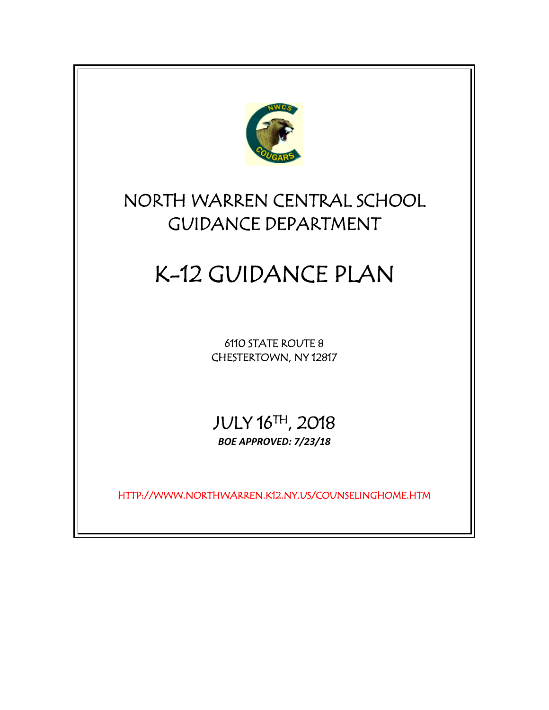

# NORTH WARREN CENTRAL SCHOOL GUIDANCE DEPARTMENT

# K-12 GUIDANCE PLAN

6110 STATE ROUTE 8 CHESTERTOWN, NY 12817

JULY 16TH, 2018 *BOE APPROVED: 7/23/18*

HTTP://WWW.NORTHWARREN.K12.NY.US/COUNSELINGHOME.HTM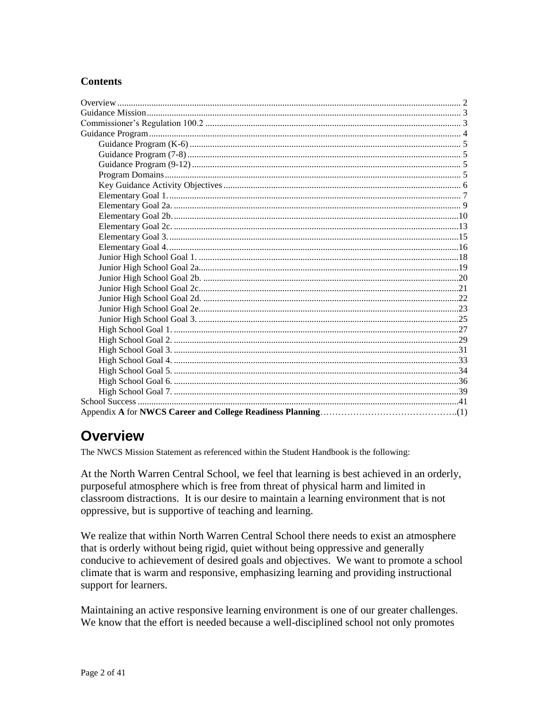# **Contents**

# <span id="page-1-0"></span>**Overview**

The NWCS Mission Statement as referenced within the Student Handbook is the following:

At the North Warren Central School, we feel that learning is best achieved in an orderly, purposeful atmosphere which is free from threat of physical harm and limited in classroom distractions. It is our desire to maintain a learning environment that is not oppressive, but is supportive of teaching and learning.

We realize that within North Warren Central School there needs to exist an atmosphere that is orderly without being rigid, quiet without being oppressive and generally conducive to achievement of desired goals and objectives. We want to promote a school climate that is warm and responsive, emphasizing learning and providing instructional support for learners.

Maintaining an active responsive learning environment is one of our greater challenges. We know that the effort is needed because a well-disciplined school not only promotes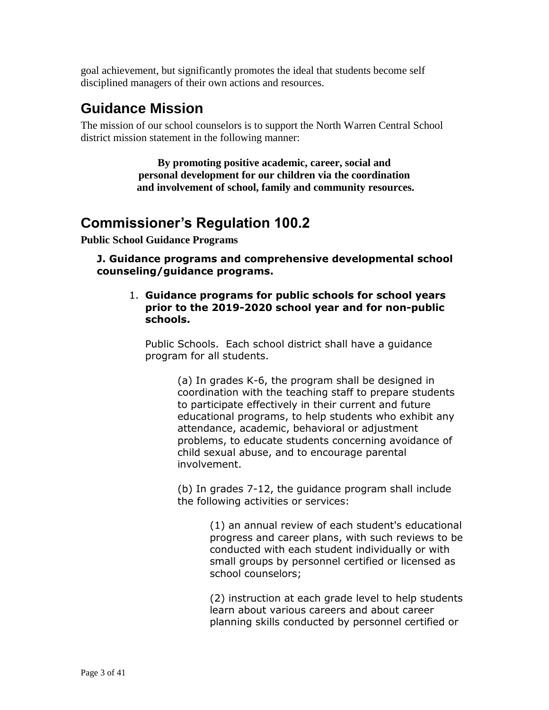goal achievement, but significantly promotes the ideal that students become self disciplined managers of their own actions and resources.

# <span id="page-2-0"></span>**Guidance Mission**

The mission of our school counselors is to support the North Warren Central School district mission statement in the following manner:

> **By promoting positive academic, career, social and personal development for our children via the coordination and involvement of school, family and community resources.**

# <span id="page-2-1"></span>**Commissioner's Regulation 100.2**

**Public School Guidance Programs**

**J. Guidance programs and comprehensive developmental school counseling/guidance programs.**

#### 1. **Guidance programs for public schools for school years prior to the 2019-2020 school year and for non-public schools.**

Public Schools. Each school district shall have a guidance program for all students.

> (a) In grades K-6, the program shall be designed in coordination with the teaching staff to prepare students to participate effectively in their current and future educational programs, to help students who exhibit any attendance, academic, behavioral or adjustment problems, to educate students concerning avoidance of child sexual abuse, and to encourage parental involvement.

(b) In grades 7-12, the guidance program shall include the following activities or services:

> (1) an annual review of each student's educational progress and career plans, with such reviews to be conducted with each student individually or with small groups by personnel certified or licensed as school counselors;

> (2) instruction at each grade level to help students learn about various careers and about career planning skills conducted by personnel certified or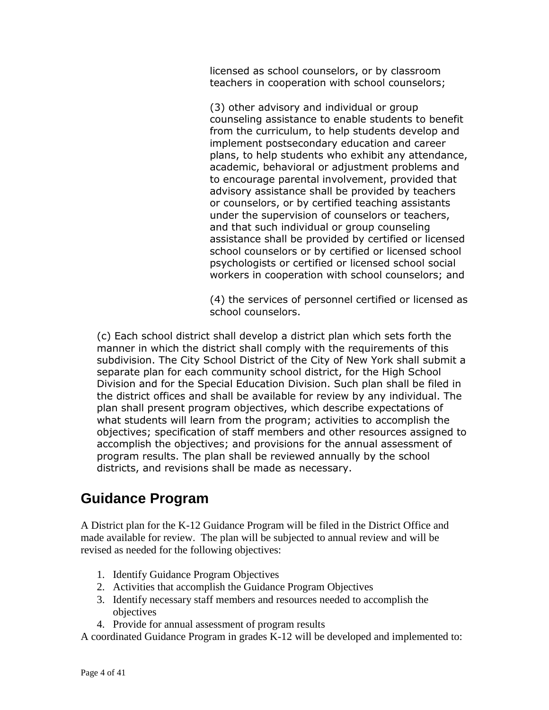licensed as school counselors, or by classroom teachers in cooperation with school counselors;

(3) other advisory and individual or group counseling assistance to enable students to benefit from the curriculum, to help students develop and implement postsecondary education and career plans, to help students who exhibit any attendance, academic, behavioral or adjustment problems and to encourage parental involvement, provided that advisory assistance shall be provided by teachers or counselors, or by certified teaching assistants under the supervision of counselors or teachers, and that such individual or group counseling assistance shall be provided by certified or licensed school counselors or by certified or licensed school psychologists or certified or licensed school social workers in cooperation with school counselors; and

(4) the services of personnel certified or licensed as school counselors.

(c) Each school district shall develop a district plan which sets forth the manner in which the district shall comply with the requirements of this subdivision. The City School District of the City of New York shall submit a separate plan for each community school district, for the High School Division and for the Special Education Division. Such plan shall be filed in the district offices and shall be available for review by any individual. The plan shall present program objectives, which describe expectations of what students will learn from the program; activities to accomplish the objectives; specification of staff members and other resources assigned to accomplish the objectives; and provisions for the annual assessment of program results. The plan shall be reviewed annually by the school districts, and revisions shall be made as necessary.

# <span id="page-3-0"></span>**Guidance Program**

A District plan for the K-12 Guidance Program will be filed in the District Office and made available for review. The plan will be subjected to annual review and will be revised as needed for the following objectives:

- 1. Identify Guidance Program Objectives
- 2. Activities that accomplish the Guidance Program Objectives
- 3. Identify necessary staff members and resources needed to accomplish the objectives
- 4. Provide for annual assessment of program results

A coordinated Guidance Program in grades K-12 will be developed and implemented to: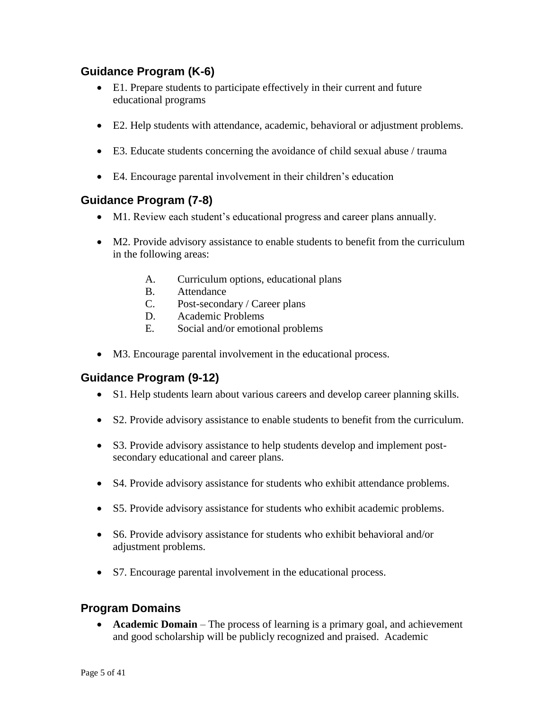# <span id="page-4-0"></span>**Guidance Program (K-6)**

- E1. Prepare students to participate effectively in their current and future educational programs
- E2. Help students with attendance, academic, behavioral or adjustment problems.
- E3. Educate students concerning the avoidance of child sexual abuse / trauma
- E4. Encourage parental involvement in their children's education

# <span id="page-4-1"></span>**Guidance Program (7-8)**

- M1. Review each student's educational progress and career plans annually.
- M2. Provide advisory assistance to enable students to benefit from the curriculum in the following areas:
	- A. Curriculum options, educational plans
	- B. Attendance
	- C. Post-secondary / Career plans
	- D. Academic Problems
	- E. Social and/or emotional problems
- M3. Encourage parental involvement in the educational process.

# <span id="page-4-2"></span>**Guidance Program (9-12)**

- S1. Help students learn about various careers and develop career planning skills.
- S2. Provide advisory assistance to enable students to benefit from the curriculum.
- S3. Provide advisory assistance to help students develop and implement postsecondary educational and career plans.
- S4. Provide advisory assistance for students who exhibit attendance problems.
- S5. Provide advisory assistance for students who exhibit academic problems.
- S6. Provide advisory assistance for students who exhibit behavioral and/or adjustment problems.
- S7. Encourage parental involvement in the educational process.

# <span id="page-4-3"></span>**Program Domains**

 **Academic Domain** – The process of learning is a primary goal, and achievement and good scholarship will be publicly recognized and praised. Academic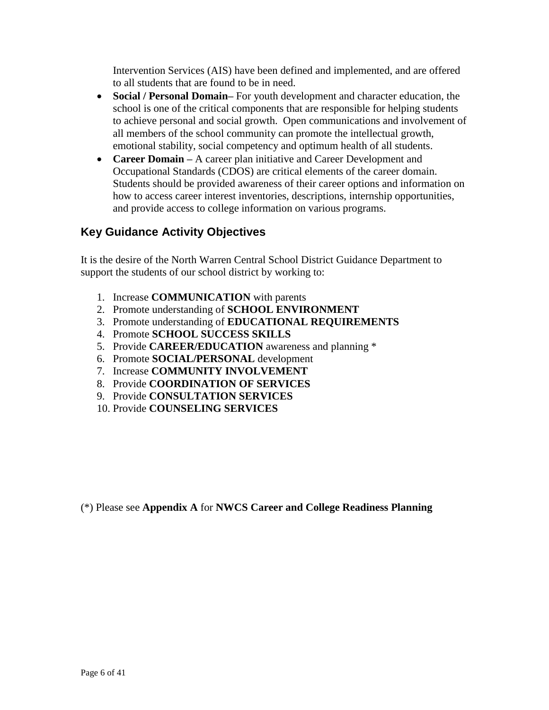Intervention Services (AIS) have been defined and implemented, and are offered to all students that are found to be in need.

- **Social / Personal Domain–** For youth development and character education, the school is one of the critical components that are responsible for helping students to achieve personal and social growth. Open communications and involvement of all members of the school community can promote the intellectual growth, emotional stability, social competency and optimum health of all students.
- **Career Domain –** A career plan initiative and Career Development and Occupational Standards (CDOS) are critical elements of the career domain. Students should be provided awareness of their career options and information on how to access career interest inventories, descriptions, internship opportunities, and provide access to college information on various programs.

# <span id="page-5-0"></span>**Key Guidance Activity Objectives**

It is the desire of the North Warren Central School District Guidance Department to support the students of our school district by working to:

- 1. Increase **COMMUNICATION** with parents
- 2. Promote understanding of **SCHOOL ENVIRONMENT**
- 3. Promote understanding of **EDUCATIONAL REQUIREMENTS**
- 4. Promote **SCHOOL SUCCESS SKILLS**
- 5. Provide **CAREER/EDUCATION** awareness and planning \*
- 6. Promote **SOCIAL/PERSONAL** development
- 7. Increase **COMMUNITY INVOLVEMENT**
- 8. Provide **COORDINATION OF SERVICES**
- 9. Provide **CONSULTATION SERVICES**
- 10. Provide **COUNSELING SERVICES**

(\*) Please see **Appendix A** for **NWCS Career and College Readiness Planning**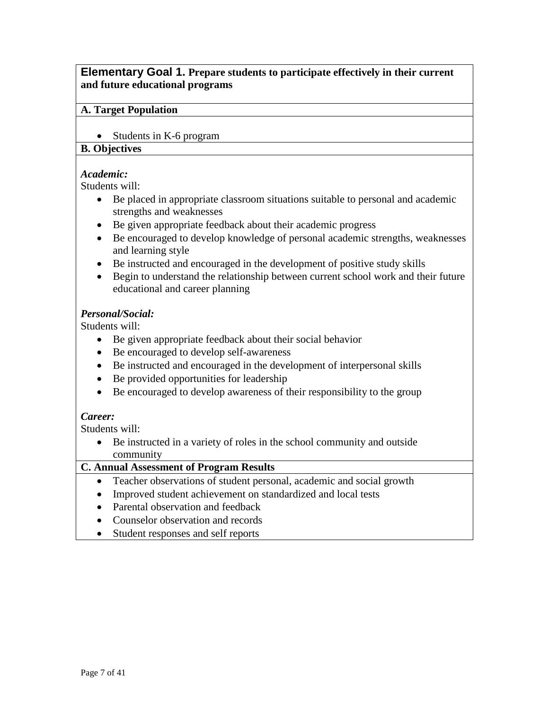### <span id="page-6-0"></span>**Elementary Goal 1. Prepare students to participate effectively in their current and future educational programs**

#### **A. Target Population**

• Students in K-6 program

# **B. Objectives**

#### *Academic:*

Students will:

- Be placed in appropriate classroom situations suitable to personal and academic strengths and weaknesses
- Be given appropriate feedback about their academic progress
- Be encouraged to develop knowledge of personal academic strengths, weaknesses and learning style
- Be instructed and encouraged in the development of positive study skills
- Begin to understand the relationship between current school work and their future educational and career planning

#### *Personal/Social:*

Students will:

- Be given appropriate feedback about their social behavior
- Be encouraged to develop self-awareness
- Be instructed and encouraged in the development of interpersonal skills
- Be provided opportunities for leadership
- Be encouraged to develop awareness of their responsibility to the group

#### *Career:*

Students will:

 Be instructed in a variety of roles in the school community and outside community

- Teacher observations of student personal, academic and social growth
- Improved student achievement on standardized and local tests
- Parental observation and feedback
- Counselor observation and records
- Student responses and self reports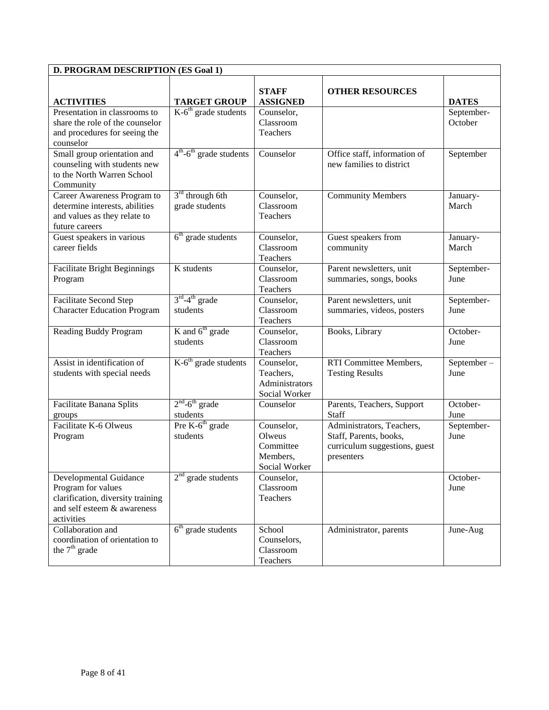| <b>D. PROGRAM DESCRIPTION (ES Goal 1)</b>                                                                                      |                                                   |                                                                |                                                                                                    |                                         |  |
|--------------------------------------------------------------------------------------------------------------------------------|---------------------------------------------------|----------------------------------------------------------------|----------------------------------------------------------------------------------------------------|-----------------------------------------|--|
| <b>ACTIVITIES</b>                                                                                                              | <b>TARGET GROUP</b>                               | <b>STAFF</b><br><b>ASSIGNED</b>                                | <b>OTHER RESOURCES</b>                                                                             | <b>DATES</b>                            |  |
| Presentation in classrooms to<br>share the role of the counselor<br>and procedures for seeing the<br>counselor                 | $K-6th$ grade students                            | Counselor,<br>Classroom<br>Teachers                            |                                                                                                    | September-<br>October                   |  |
| Small group orientation and<br>counseling with students new<br>to the North Warren School<br>Community                         | $4^{\text{th}}$ -6 <sup>th</sup> grade students   | Counselor                                                      | Office staff, information of<br>new families to district                                           | September                               |  |
| Career Awareness Program to<br>determine interests, abilities<br>and values as they relate to<br>future careers                | $3rd$ through 6th<br>grade students               | Counselor,<br>Classroom<br>Teachers                            | <b>Community Members</b>                                                                           | January-<br>March                       |  |
| Guest speakers in various<br>career fields                                                                                     | $6th$ grade students                              | Counselor,<br>Classroom<br>Teachers                            | Guest speakers from<br>community                                                                   | January-<br>March                       |  |
| <b>Facilitate Bright Beginnings</b><br>Program                                                                                 | K students                                        | Counselor,<br>Classroom<br>Teachers                            | Parent newsletters, unit<br>summaries, songs, books                                                | September-<br>June                      |  |
| Facilitate Second Step<br><b>Character Education Program</b>                                                                   | $3^{\text{rd}} - 4^{\text{th}}$ grade<br>students | Counselor,<br>Classroom<br>Teachers                            | Parent newsletters, unit<br>summaries, videos, posters                                             | September-<br>June                      |  |
| Reading Buddy Program                                                                                                          | K and 6 <sup>th</sup> grade<br>students           | Counselor,<br>Classroom<br>Teachers                            | Books, Library                                                                                     | October-<br>June                        |  |
| Assist in identification of<br>students with special needs                                                                     | $K-6th$ grade students                            | Counselor,<br>Teachers,<br>Administrators<br>Social Worker     | RTI Committee Members,<br><b>Testing Results</b>                                                   | $\overline{\text{September}}$ -<br>June |  |
| Facilitate Banana Splits<br>groups                                                                                             | $2nd - 6th$ grade<br>students                     | Counselor                                                      | Parents, Teachers, Support<br>Staff                                                                | October-<br>June                        |  |
| Facilitate K-6 Olweus<br>Program                                                                                               | Pre K-6 <sup>th</sup> grade<br>students           | Counselor,<br>Olweus<br>Committee<br>Members,<br>Social Worker | Administrators, Teachers,<br>Staff, Parents, books,<br>curriculum suggestions, guest<br>presenters | September-<br>June                      |  |
| Developmental Guidance<br>Program for values<br>clarification, diversity training<br>and self esteem & awareness<br>activities | $2nd$ grade students                              | Counselor,<br>Classroom<br>Teachers                            |                                                                                                    | October-<br>June                        |  |
| Collaboration and<br>coordination of orientation to<br>the $7th$ grade                                                         | $6th$ grade students                              | School<br>Counselors,<br>Classroom<br>Teachers                 | Administrator, parents                                                                             | June-Aug                                |  |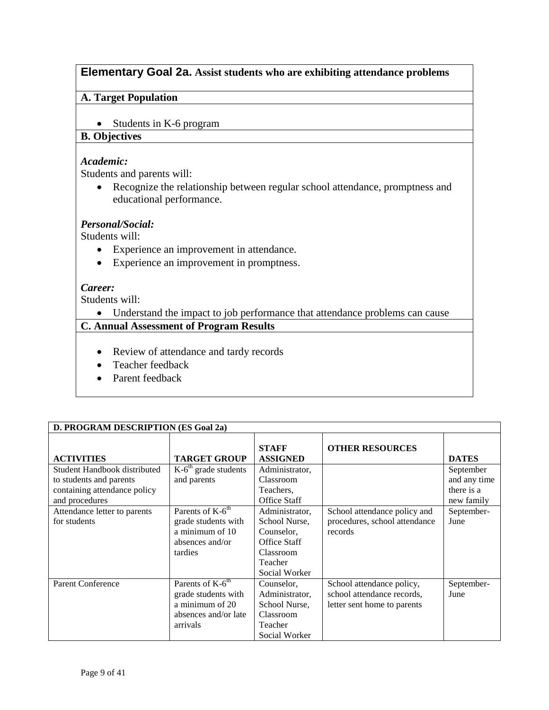# <span id="page-8-0"></span>**Elementary Goal 2a. Assist students who are exhibiting attendance problems**

#### **A. Target Population**

• Students in K-6 program

#### **B. Objectives**

#### *Academic:*

Students and parents will:

 Recognize the relationship between regular school attendance, promptness and educational performance.

#### *Personal/Social:*

Students will:

- Experience an improvement in attendance.
- Experience an improvement in promptness.

#### *Career:*

Students will:

Understand the impact to job performance that attendance problems can cause

### **C. Annual Assessment of Program Results**

- Review of attendance and tardy records
- Teacher feedback
- Parent feedback

#### **D. PROGRAM DESCRIPTION (ES Goal 2a)**

| <b>ACTIVITIES</b>            | <b>TARGET GROUP</b>          | <b>STAFF</b><br><b>ASSIGNED</b> | <b>OTHER RESOURCES</b>        | <b>DATES</b> |
|------------------------------|------------------------------|---------------------------------|-------------------------------|--------------|
| Student Handbook distributed | $K-6th$ grade students       | Administrator,                  |                               | September    |
| to students and parents      | and parents                  | Classroom                       |                               | and any time |
| containing attendance policy |                              | Teachers,                       |                               | there is a   |
| and procedures               |                              | <b>Office Staff</b>             |                               | new family   |
| Attendance letter to parents | Parents of K-6 <sup>th</sup> | Administrator,                  | School attendance policy and  | September-   |
| for students                 | grade students with          | School Nurse,                   | procedures, school attendance | June         |
|                              | a minimum of 10              | Counselor,                      | records                       |              |
|                              | absences and/or              | Office Staff                    |                               |              |
|                              | tardies                      | Classroom                       |                               |              |
|                              |                              | Teacher                         |                               |              |
|                              |                              | Social Worker                   |                               |              |
| <b>Parent Conference</b>     | Parents of K-6 <sup>th</sup> | Counselor,                      | School attendance policy,     | September-   |
|                              | grade students with          | Administrator,                  | school attendance records,    | June         |
|                              | a minimum of 20              | School Nurse,                   | letter sent home to parents   |              |
|                              | absences and/or late         | Classroom                       |                               |              |
|                              | arrivals                     | Teacher                         |                               |              |
|                              |                              | Social Worker                   |                               |              |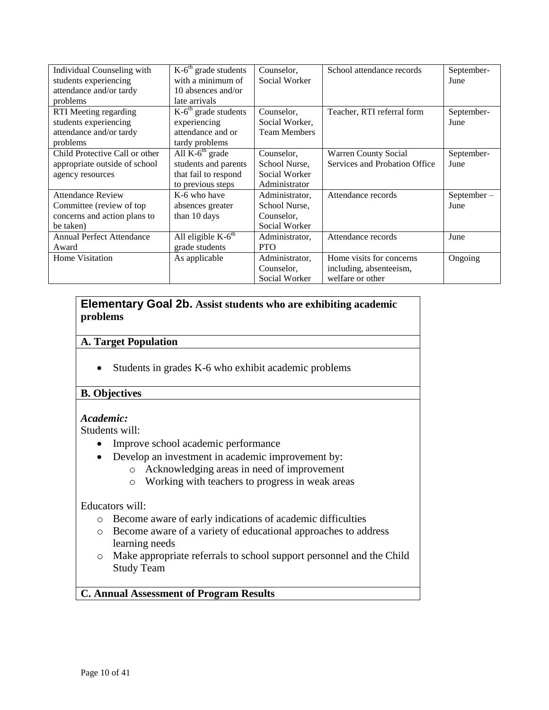| Individual Counseling with       | $\overline{K}$ -6 <sup>th</sup> grade students | Counselor,          | School attendance records     | September-    |
|----------------------------------|------------------------------------------------|---------------------|-------------------------------|---------------|
| students experiencing            | with a minimum of                              | Social Worker       |                               | June          |
| attendance and/or tardy          | 10 absences and/or                             |                     |                               |               |
| problems                         | late arrivals                                  |                     |                               |               |
| RTI Meeting regarding            | $K-6th$ grade students                         | Counselor,          | Teacher, RTI referral form    | September-    |
| students experiencing            | experiencing                                   | Social Worker,      |                               | June          |
| attendance and/or tardy          | attendance and or                              | <b>Team Members</b> |                               |               |
| problems                         | tardy problems                                 |                     |                               |               |
| Child Protective Call or other   | All $K-6th$ grade                              | Counselor,          | <b>Warren County Social</b>   | September-    |
| appropriate outside of school    | students and parents                           | School Nurse,       | Services and Probation Office | June          |
| agency resources                 | that fail to respond                           | Social Worker       |                               |               |
|                                  | to previous steps                              | Administrator       |                               |               |
| <b>Attendance Review</b>         | K-6 who have                                   | Administrator,      | Attendance records            | $September -$ |
| Committee (review of top)        | absences greater                               | School Nurse.       |                               | June          |
| concerns and action plans to     | than 10 days                                   | Counselor,          |                               |               |
| be taken)                        |                                                | Social Worker       |                               |               |
| <b>Annual Perfect Attendance</b> | All eligible $K-6th$                           | Administrator,      | Attendance records            | June          |
| Award                            | grade students                                 | <b>PTO</b>          |                               |               |
| Home Visitation                  | As applicable                                  | Administrator,      | Home visits for concerns      | Ongoing       |
|                                  |                                                | Counselor,          | including, absenteeism,       |               |
|                                  |                                                | Social Worker       | welfare or other              |               |

#### <span id="page-9-0"></span>**Elementary Goal 2b. Assist students who are exhibiting academic problems**

#### **A. Target Population**

• Students in grades K-6 who exhibit academic problems

#### **B. Objectives**

#### *Academic:*

Students will:

- Improve school academic performance
- Develop an investment in academic improvement by:
	- o Acknowledging areas in need of improvement
		- o Working with teachers to progress in weak areas

#### Educators will:

- o Become aware of early indications of academic difficulties
- o Become aware of a variety of educational approaches to address learning needs
- o Make appropriate referrals to school support personnel and the Child Study Team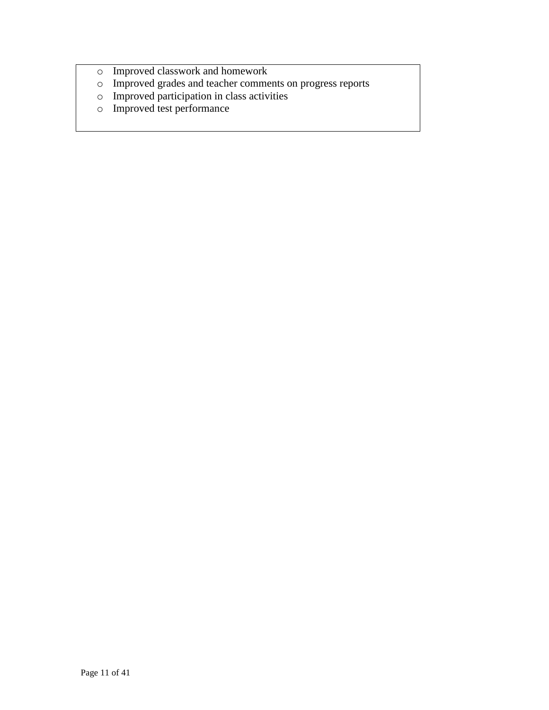- o Improved classwork and homework
- o Improved grades and teacher comments on progress reports
- o Improved participation in class activities
- o Improved test performance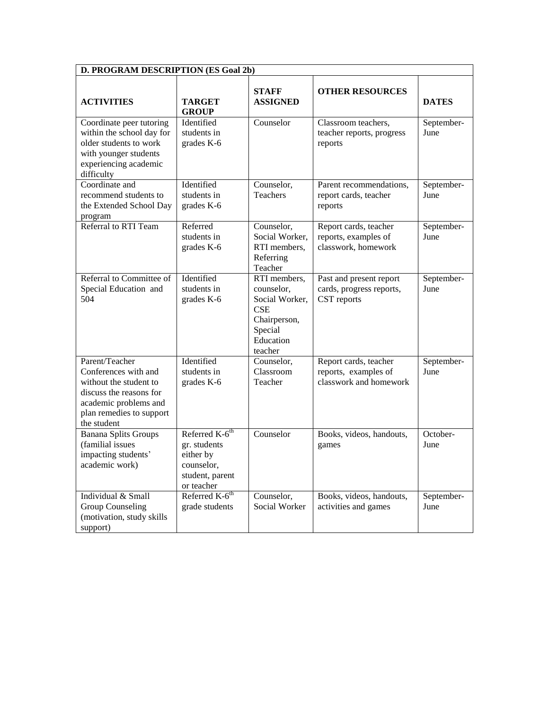| D. PROGRAM DESCRIPTION (ES Goal 2b)                                                                                                                             |                                                                                                        |                                                                                                               |                                                                         |                    |
|-----------------------------------------------------------------------------------------------------------------------------------------------------------------|--------------------------------------------------------------------------------------------------------|---------------------------------------------------------------------------------------------------------------|-------------------------------------------------------------------------|--------------------|
| <b>ACTIVITIES</b>                                                                                                                                               | <b>TARGET</b><br><b>GROUP</b>                                                                          | <b>STAFF</b><br><b>ASSIGNED</b>                                                                               | <b>OTHER RESOURCES</b>                                                  | <b>DATES</b>       |
| Coordinate peer tutoring<br>within the school day for<br>older students to work<br>with younger students<br>experiencing academic<br>difficulty                 | Identified<br>students in<br>grades K-6                                                                | Counselor                                                                                                     | Classroom teachers,<br>teacher reports, progress<br>reports             | September-<br>June |
| Coordinate and<br>recommend students to<br>the Extended School Day<br>program                                                                                   | Identified<br>students in<br>grades K-6                                                                | Counselor,<br>Teachers                                                                                        | Parent recommendations,<br>report cards, teacher<br>reports             | September-<br>June |
| Referral to RTI Team                                                                                                                                            | Referred<br>students in<br>grades K-6                                                                  | Counselor,<br>Social Worker,<br>RTI members,<br>Referring<br>Teacher                                          | Report cards, teacher<br>reports, examples of<br>classwork, homework    | September-<br>June |
| Referral to Committee of<br>Special Education and<br>504                                                                                                        | Identified<br>students in<br>grades K-6                                                                | RTI members,<br>counselor,<br>Social Worker,<br><b>CSE</b><br>Chairperson,<br>Special<br>Education<br>teacher | Past and present report<br>cards, progress reports,<br>CST reports      | September-<br>June |
| Parent/Teacher<br>Conferences with and<br>without the student to<br>discuss the reasons for<br>academic problems and<br>plan remedies to support<br>the student | Identified<br>students in<br>grades K-6                                                                | Counselor,<br>Classroom<br>Teacher                                                                            | Report cards, teacher<br>reports, examples of<br>classwork and homework | September-<br>June |
| <b>Banana Splits Groups</b><br>(familial issues<br>impacting students'<br>academic work)                                                                        | Referred K-6 <sup>th</sup><br>gr. students<br>either by<br>counselor,<br>student, parent<br>or teacher | Counselor                                                                                                     | Books, videos, handouts,<br>games                                       | October-<br>June   |
| Individual & Small<br><b>Group Counseling</b><br>(motivation, study skills<br>support)                                                                          | Referred K-6 <sup>th</sup><br>grade students                                                           | Counselor,<br>Social Worker                                                                                   | Books, videos, handouts,<br>activities and games                        | September-<br>June |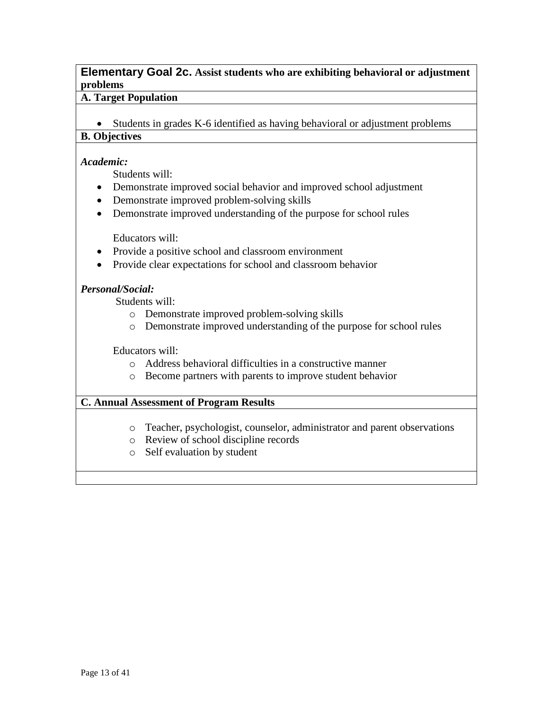### <span id="page-12-0"></span>**Elementary Goal 2c. Assist students who are exhibiting behavioral or adjustment problems**

#### **A. Target Population**

• Students in grades K-6 identified as having behavioral or adjustment problems

# **B. Objectives**

#### *Academic:*

Students will:

- Demonstrate improved social behavior and improved school adjustment
- Demonstrate improved problem-solving skills
- Demonstrate improved understanding of the purpose for school rules

Educators will:

- Provide a positive school and classroom environment
- Provide clear expectations for school and classroom behavior

#### *Personal/Social:*

Students will:

- o Demonstrate improved problem-solving skills
- o Demonstrate improved understanding of the purpose for school rules

Educators will:

- o Address behavioral difficulties in a constructive manner
- o Become partners with parents to improve student behavior

- o Teacher, psychologist, counselor, administrator and parent observations
- o Review of school discipline records
- o Self evaluation by student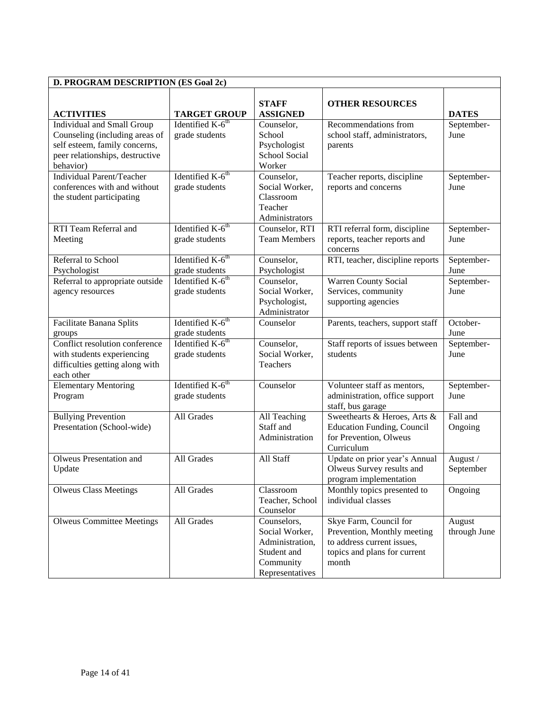| D. PROGRAM DESCRIPTION (ES Goal 2c)                                                                                                           |                                                                                  |                                                                                                 |                                                                                                                              |                        |  |
|-----------------------------------------------------------------------------------------------------------------------------------------------|----------------------------------------------------------------------------------|-------------------------------------------------------------------------------------------------|------------------------------------------------------------------------------------------------------------------------------|------------------------|--|
| <b>ACTIVITIES</b>                                                                                                                             | <b>TARGET GROUP</b>                                                              | <b>STAFF</b><br><b>ASSIGNED</b>                                                                 | <b>OTHER RESOURCES</b>                                                                                                       | <b>DATES</b>           |  |
| Individual and Small Group<br>Counseling (including areas of<br>self esteem, family concerns,<br>peer relationships, destructive<br>behavior) | Identified $K-6^{th}$<br>grade students                                          | Counselor,<br>School<br>Psychologist<br>School Social<br>Worker                                 | Recommendations from<br>school staff, administrators,<br>parents                                                             | September-<br>June     |  |
| Individual Parent/Teacher<br>conferences with and without<br>the student participating                                                        | Identified K-6 <sup>th</sup><br>grade students                                   | Counselor,<br>Social Worker,<br>Classroom<br>Teacher<br>Administrators                          | Teacher reports, discipline<br>reports and concerns                                                                          | September-<br>June     |  |
| RTI Team Referral and<br>Meeting                                                                                                              | Identified $K-6^{th}$<br>grade students                                          | Counselor, RTI<br><b>Team Members</b>                                                           | RTI referral form, discipline<br>reports, teacher reports and<br>concerns                                                    | September-<br>June     |  |
| Referral to School<br>Psychologist                                                                                                            | Identified K-6 <sup>th</sup><br>grade students                                   | Counselor,<br>Psychologist                                                                      | RTI, teacher, discipline reports                                                                                             | September-<br>June     |  |
| Referral to appropriate outside<br>agency resources                                                                                           | Identified $K-6$ <sup>th</sup><br>grade students                                 | Counselor,<br>Social Worker,<br>Psychologist,<br>Administrator                                  | Warren County Social<br>Services, community<br>supporting agencies                                                           | September-<br>June     |  |
| Facilitate Banana Splits<br>groups                                                                                                            | Identified $K-6$ <sup>th</sup><br>grade students<br>Identified K-6 <sup>th</sup> | Counselor                                                                                       | Parents, teachers, support staff                                                                                             | October-<br>June       |  |
| Conflict resolution conference<br>with students experiencing<br>difficulties getting along with<br>each other                                 | grade students                                                                   | Counselor,<br>Social Worker,<br>Teachers                                                        | Staff reports of issues between<br>students                                                                                  | September-<br>June     |  |
| <b>Elementary Mentoring</b><br>Program                                                                                                        | Identified $K-6^{th}$<br>grade students                                          | Counselor                                                                                       | Volunteer staff as mentors,<br>administration, office support<br>staff, bus garage                                           | September-<br>June     |  |
| <b>Bullying Prevention</b><br>Presentation (School-wide)                                                                                      | All Grades                                                                       | All Teaching<br>Staff and<br>Administration                                                     | Sweethearts & Heroes, Arts &<br><b>Education Funding, Council</b><br>for Prevention, Olweus<br>Curriculum                    | Fall and<br>Ongoing    |  |
| Olweus Presentation and<br>Update                                                                                                             | All Grades                                                                       | All Staff                                                                                       | Update on prior year's Annual<br>Olweus Survey results and<br>program implementation                                         | August /<br>September  |  |
| <b>Olweus Class Meetings</b>                                                                                                                  | All Grades                                                                       | Classroom<br>Teacher, School<br>Counselor                                                       | Monthly topics presented to<br>individual classes                                                                            | Ongoing                |  |
| <b>Olweus Committee Meetings</b>                                                                                                              | All Grades                                                                       | Counselors,<br>Social Worker,<br>Administration,<br>Student and<br>Community<br>Representatives | Skye Farm, Council for<br>Prevention, Monthly meeting<br>to address current issues,<br>topics and plans for current<br>month | August<br>through June |  |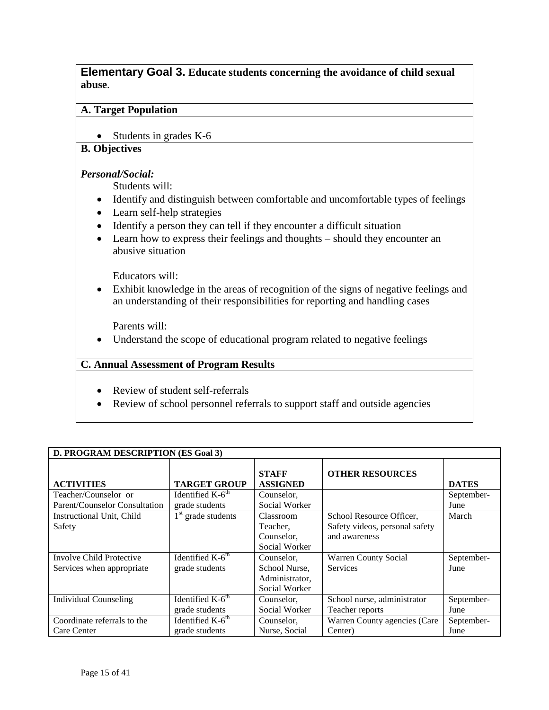<span id="page-14-0"></span>**Elementary Goal 3. Educate students concerning the avoidance of child sexual abuse**.

#### **A. Target Population**

• Students in grades K-6

# **B. Objectives**

#### *Personal/Social:*

Students will:

- Identify and distinguish between comfortable and uncomfortable types of feelings
- Learn self-help strategies
- Identify a person they can tell if they encounter a difficult situation
- Learn how to express their feelings and thoughts should they encounter an abusive situation

Educators will:

 Exhibit knowledge in the areas of recognition of the signs of negative feelings and an understanding of their responsibilities for reporting and handling cases

Parents will:

• Understand the scope of educational program related to negative feelings

- Review of student self-referrals
- Review of school personnel referrals to support staff and outside agencies

| D. PROGRAM DESCRIPTION (ES Goal 3) |                       |                                 |                                |              |
|------------------------------------|-----------------------|---------------------------------|--------------------------------|--------------|
| <b>ACTIVITIES</b>                  | <b>TARGET GROUP</b>   | <b>STAFF</b><br><b>ASSIGNED</b> | <b>OTHER RESOURCES</b>         | <b>DATES</b> |
| Teacher/Counselor or               | Identified $K-6th$    | Counselor,                      |                                | September-   |
| Parent/Counselor Consultation      | grade students        | Social Worker                   |                                | June         |
| Instructional Unit, Child          | $1st$ grade students  | Classroom                       | School Resource Officer,       | March        |
| Safety                             |                       | Teacher,                        | Safety videos, personal safety |              |
|                                    |                       | Counselor,                      | and awareness                  |              |
|                                    |                       | Social Worker                   |                                |              |
| <b>Involve Child Protective</b>    | Identified $K-6^{th}$ | Counselor,                      | <b>Warren County Social</b>    | September-   |
| Services when appropriate          | grade students        | School Nurse.                   | <b>Services</b>                | June         |
|                                    |                       | Administrator,                  |                                |              |
|                                    |                       | Social Worker                   |                                |              |
| <b>Individual Counseling</b>       | Identified $K-6th$    | Counselor,                      | School nurse, administrator    | September-   |
|                                    | grade students        | Social Worker                   | Teacher reports                | June         |
| Coordinate referrals to the        | Identified $K-6th$    | Counselor,                      | Warren County agencies (Care   | September-   |
| Care Center                        | grade students        | Nurse, Social                   | Center)                        | June         |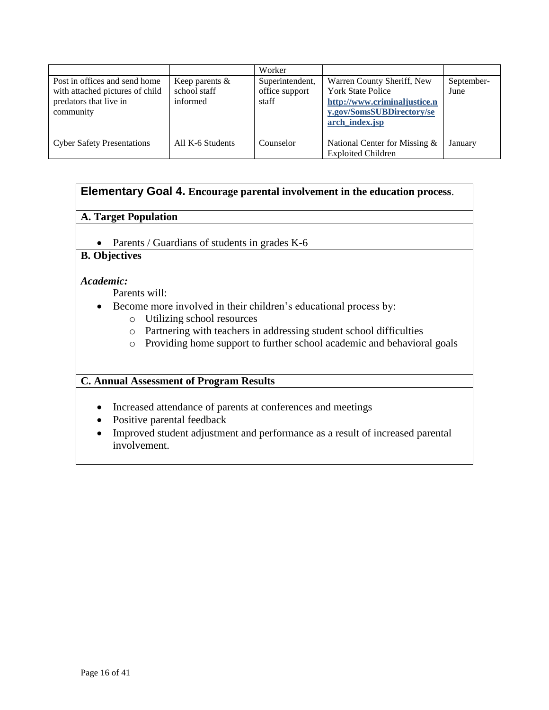|                                                                                                         |                                               | Worker                                     |                                                                                                                                       |                    |
|---------------------------------------------------------------------------------------------------------|-----------------------------------------------|--------------------------------------------|---------------------------------------------------------------------------------------------------------------------------------------|--------------------|
| Post in offices and send home<br>with attached pictures of child<br>predators that live in<br>community | Keep parents $\&$<br>school staff<br>informed | Superintendent,<br>office support<br>staff | Warren County Sheriff, New<br><b>York State Police</b><br>http://www.criminaljustice.n<br>y.gov/SomsSUBDirectory/se<br>arch index.jsp | September-<br>June |
| <b>Cyber Safety Presentations</b>                                                                       | All K-6 Students                              | Counselor                                  | National Center for Missing $\&$<br><b>Exploited Children</b>                                                                         | January            |

# <span id="page-15-0"></span>**Elementary Goal 4. Encourage parental involvement in the education process**.

#### **A. Target Population**

• Parents / Guardians of students in grades K-6

# **B. Objectives**

#### *Academic:*

Parents will:

- Become more involved in their children's educational process by:
	- o Utilizing school resources
	- o Partnering with teachers in addressing student school difficulties
	- o Providing home support to further school academic and behavioral goals

- Increased attendance of parents at conferences and meetings
- Positive parental feedback
- Improved student adjustment and performance as a result of increased parental involvement.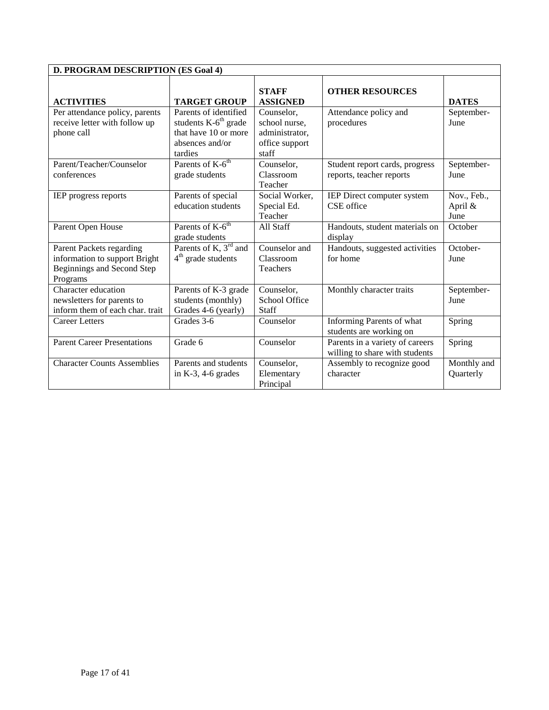| D. PROGRAM DESCRIPTION (ES Goal 4)                                                                  |                                                                                                       |                                                                          |                                                                   |                                |
|-----------------------------------------------------------------------------------------------------|-------------------------------------------------------------------------------------------------------|--------------------------------------------------------------------------|-------------------------------------------------------------------|--------------------------------|
| <b>ACTIVITIES</b>                                                                                   | <b>TARGET GROUP</b>                                                                                   | <b>STAFF</b><br><b>ASSIGNED</b>                                          | <b>OTHER RESOURCES</b>                                            | <b>DATES</b>                   |
| Per attendance policy, parents<br>receive letter with follow up<br>phone call                       | Parents of identified<br>students $K-6th$ grade<br>that have 10 or more<br>absences and/or<br>tardies | Counselor,<br>school nurse,<br>administrator,<br>office support<br>staff | Attendance policy and<br>procedures                               | September-<br>June             |
| Parent/Teacher/Counselor<br>conferences                                                             | Parents of K-6 <sup>th</sup><br>grade students                                                        | Counselor,<br>Classroom<br>Teacher                                       | Student report cards, progress<br>reports, teacher reports        | September-<br>June             |
| <b>IEP</b> progress reports                                                                         | Parents of special<br>education students                                                              | Social Worker,<br>Special Ed.<br>Teacher                                 | IEP Direct computer system<br>CSE office                          | Nov., Feb.,<br>April &<br>June |
| Parent Open House                                                                                   | Parents of K-6 <sup>th</sup><br>grade students                                                        | All Staff                                                                | Handouts, student materials on<br>display                         | October                        |
| Parent Packets regarding<br>information to support Bright<br>Beginnings and Second Step<br>Programs | Parents of K, $3rd$ and<br>$4th$ grade students                                                       | Counselor and<br>Classroom<br>Teachers                                   | Handouts, suggested activities<br>for home                        | October-<br>June               |
| Character education<br>newsletters for parents to<br>inform them of each char. trait                | Parents of K-3 grade<br>students (monthly)<br>Grades 4-6 (yearly)                                     | Counselor,<br>School Office<br>Staff                                     | Monthly character traits                                          | September-<br>June             |
| <b>Career Letters</b>                                                                               | Grades 3-6                                                                                            | Counselor                                                                | Informing Parents of what<br>students are working on              | Spring                         |
| <b>Parent Career Presentations</b>                                                                  | Grade 6                                                                                               | Counselor                                                                | Parents in a variety of careers<br>willing to share with students | Spring                         |
| <b>Character Counts Assemblies</b>                                                                  | Parents and students<br>in $K-3$ , 4-6 grades                                                         | Counselor,<br>Elementary<br>Principal                                    | Assembly to recognize good<br>character                           | Monthly and<br>Quarterly       |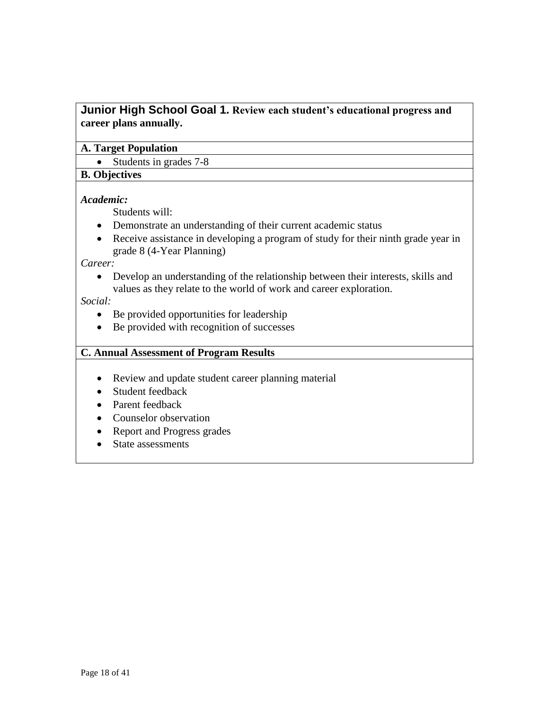# <span id="page-17-0"></span>**Junior High School Goal 1. Review each student's educational progress and career plans annually.**

#### **A. Target Population**

• Students in grades 7-8

#### **B. Objectives**

#### *Academic:*

Students will:

- Demonstrate an understanding of their current academic status
- Receive assistance in developing a program of study for their ninth grade year in grade 8 (4-Year Planning)

*Career:*

 Develop an understanding of the relationship between their interests, skills and values as they relate to the world of work and career exploration.

#### *Social:*

- Be provided opportunities for leadership
- Be provided with recognition of successes

- Review and update student career planning material
- Student feedback
- Parent feedback
- Counselor observation
- Report and Progress grades
- State assessments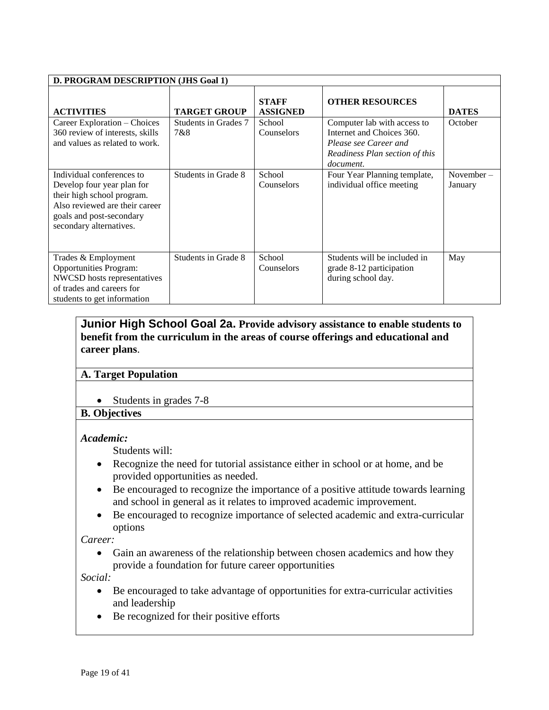| D. PROGRAM DESCRIPTION (JHS Goal 1)                                                                                                                                            |                             |                                 |                                                                                                                                  |                      |
|--------------------------------------------------------------------------------------------------------------------------------------------------------------------------------|-----------------------------|---------------------------------|----------------------------------------------------------------------------------------------------------------------------------|----------------------|
| <b>ACTIVITIES</b>                                                                                                                                                              | <b>TARGET GROUP</b>         | <b>STAFF</b><br><b>ASSIGNED</b> | <b>OTHER RESOURCES</b>                                                                                                           | <b>DATES</b>         |
| Career Exploration – Choices<br>360 review of interests, skills<br>and values as related to work.                                                                              | Students in Grades 7<br>7&8 | School<br>Counselors            | Computer lab with access to<br>Internet and Choices 360.<br>Please see Career and<br>Readiness Plan section of this<br>document. | October              |
| Individual conferences to<br>Develop four year plan for<br>their high school program.<br>Also reviewed are their career<br>goals and post-secondary<br>secondary alternatives. | Students in Grade 8         | School<br>Counselors            | Four Year Planning template,<br>individual office meeting                                                                        | November-<br>January |
| Trades & Employment<br><b>Opportunities Program:</b><br>NWCSD hosts representatives<br>of trades and careers for<br>students to get information                                | Students in Grade 8         | School<br>Counselors            | Students will be included in<br>grade 8-12 participation<br>during school day.                                                   | May                  |

### <span id="page-18-0"></span>**Junior High School Goal 2a. Provide advisory assistance to enable students to benefit from the curriculum in the areas of course offerings and educational and career plans**.

#### **A. Target Population**

• Students in grades 7-8

#### **B. Objectives**

#### *Academic:*

Students will:

- Recognize the need for tutorial assistance either in school or at home, and be provided opportunities as needed.
- Be encouraged to recognize the importance of a positive attitude towards learning and school in general as it relates to improved academic improvement.
- Be encouraged to recognize importance of selected academic and extra-curricular options

*Career:*

 Gain an awareness of the relationship between chosen academics and how they provide a foundation for future career opportunities

*Social:*

- Be encouraged to take advantage of opportunities for extra-curricular activities and leadership
- Be recognized for their positive efforts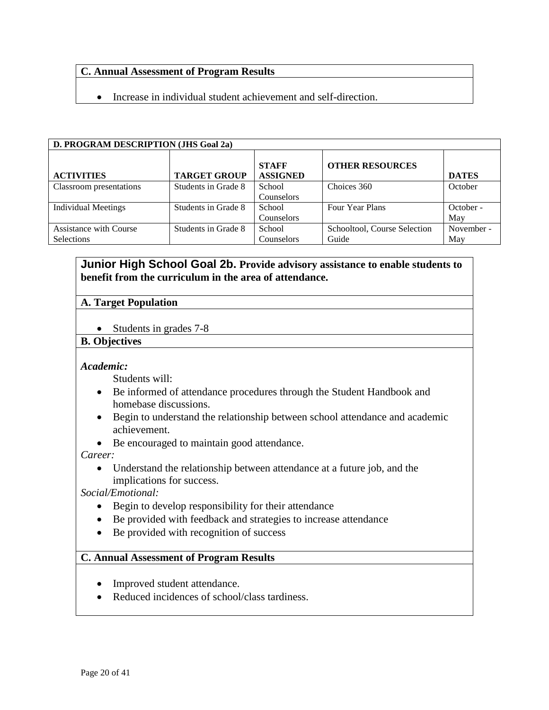#### **C. Annual Assessment of Program Results**

Increase in individual student achievement and self-direction.

| D. PROGRAM DESCRIPTION (JHS Goal 2a) |                     |                                 |                              |              |
|--------------------------------------|---------------------|---------------------------------|------------------------------|--------------|
| <b>ACTIVITIES</b>                    | <b>TARGET GROUP</b> | <b>STAFF</b><br><b>ASSIGNED</b> | <b>OTHER RESOURCES</b>       | <b>DATES</b> |
| Classroom presentations              | Students in Grade 8 | School                          | Choices 360                  | October      |
|                                      |                     | Counselors                      |                              |              |
| <b>Individual Meetings</b>           | Students in Grade 8 | School                          | Four Year Plans              | October -    |
|                                      |                     | Counselors                      |                              | May          |
| <b>Assistance with Course</b>        | Students in Grade 8 | School                          | Schooltool, Course Selection | November -   |
| Selections                           |                     | Counselors                      | Guide                        | May          |

#### <span id="page-19-0"></span>**Junior High School Goal 2b. Provide advisory assistance to enable students to benefit from the curriculum in the area of attendance.**

#### **A. Target Population**

• Students in grades 7-8

#### **B. Objectives**

#### *Academic:*

Students will:

- Be informed of attendance procedures through the Student Handbook and homebase discussions.
- Begin to understand the relationship between school attendance and academic achievement.
- Be encouraged to maintain good attendance.

#### *Career:*

 Understand the relationship between attendance at a future job, and the implications for success.

*Social/Emotional:*

- Begin to develop responsibility for their attendance
- Be provided with feedback and strategies to increase attendance
- Be provided with recognition of success

- Improved student attendance.
- Reduced incidences of school/class tardiness.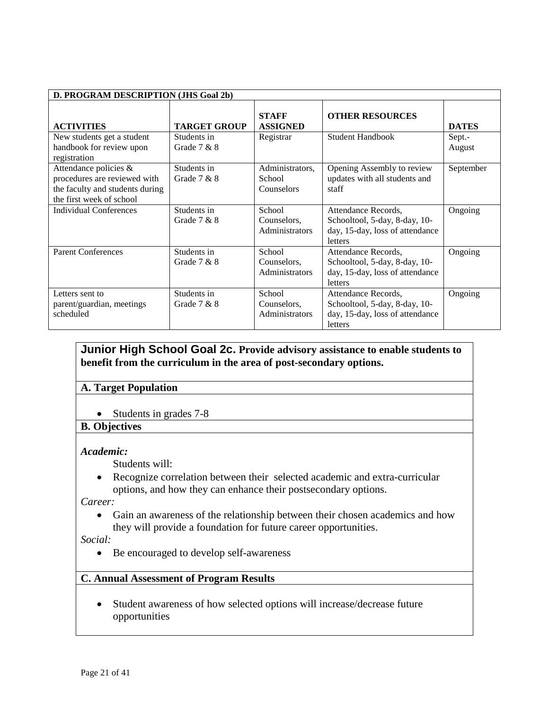| D. PROGRAM DESCRIPTION (JHS Goal 2b)                                                                                 |                              |                                         |                                                                                                    |                  |
|----------------------------------------------------------------------------------------------------------------------|------------------------------|-----------------------------------------|----------------------------------------------------------------------------------------------------|------------------|
| <b>ACTIVITIES</b>                                                                                                    | <b>TARGET GROUP</b>          | <b>STAFF</b><br><b>ASSIGNED</b>         | <b>OTHER RESOURCES</b>                                                                             | <b>DATES</b>     |
| New students get a student<br>handbook for review upon<br>registration                                               | Students in<br>Grade $7 & 8$ | Registrar                               | <b>Student Handbook</b>                                                                            | Sept.-<br>August |
| Attendance policies &<br>procedures are reviewed with<br>the faculty and students during<br>the first week of school | Students in<br>Grade $7 & 8$ | Administrators,<br>School<br>Counselors | Opening Assembly to review<br>updates with all students and<br>staff                               | September        |
| <b>Individual Conferences</b>                                                                                        | Students in<br>Grade $7 & 8$ | School<br>Counselors,<br>Administrators | Attendance Records,<br>Schooltool, 5-day, 8-day, 10-<br>day, 15-day, loss of attendance<br>letters | Ongoing          |
| <b>Parent Conferences</b>                                                                                            | Students in<br>Grade $7 & 8$ | School<br>Counselors,<br>Administrators | Attendance Records.<br>Schooltool, 5-day, 8-day, 10-<br>day, 15-day, loss of attendance<br>letters | Ongoing          |
| Letters sent to<br>parent/guardian, meetings<br>scheduled                                                            | Students in<br>Grade $7 & 8$ | School<br>Counselors,<br>Administrators | Attendance Records,<br>Schooltool, 5-day, 8-day, 10-<br>day, 15-day, loss of attendance<br>letters | Ongoing          |

# <span id="page-20-0"></span>**Junior High School Goal 2c. Provide advisory assistance to enable students to benefit from the curriculum in the area of post-secondary options.**

#### **A. Target Population**

• Students in grades 7-8

**B. Objectives**

#### *Academic:*

Students will:

 Recognize correlation between their selected academic and extra-curricular options, and how they can enhance their postsecondary options.

*Career:*

 Gain an awareness of the relationship between their chosen academics and how they will provide a foundation for future career opportunities.

*Social:*

Be encouraged to develop self-awareness

#### **C. Annual Assessment of Program Results**

 Student awareness of how selected options will increase/decrease future opportunities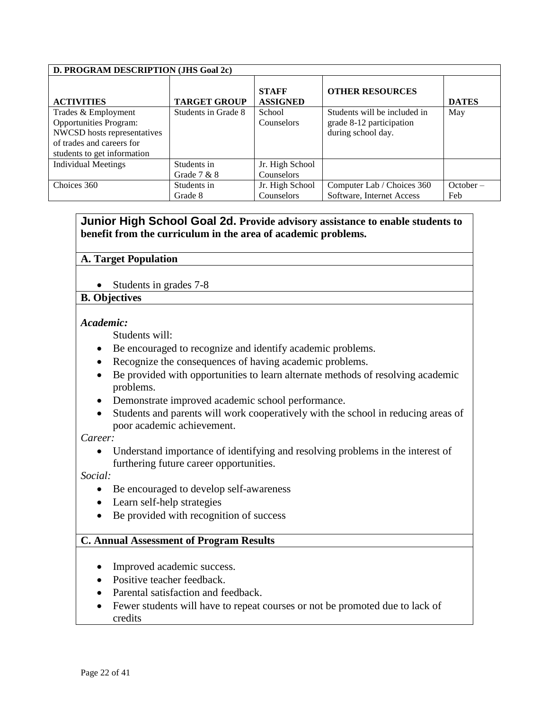| D. PROGRAM DESCRIPTION (JHS Goal 2c)                                                                                                            |                     |                                 |                                                                                |              |
|-------------------------------------------------------------------------------------------------------------------------------------------------|---------------------|---------------------------------|--------------------------------------------------------------------------------|--------------|
| <b>ACTIVITIES</b>                                                                                                                               | <b>TARGET GROUP</b> | <b>STAFF</b><br><b>ASSIGNED</b> | <b>OTHER RESOURCES</b>                                                         | <b>DATES</b> |
| Trades & Employment<br><b>Opportunities Program:</b><br>NWCSD hosts representatives<br>of trades and careers for<br>students to get information | Students in Grade 8 | School<br><b>Counselors</b>     | Students will be included in<br>grade 8-12 participation<br>during school day. | May          |
| <b>Individual Meetings</b>                                                                                                                      | Students in         | Jr. High School                 |                                                                                |              |
|                                                                                                                                                 | Grade $7 & 8$       | Counselors                      |                                                                                |              |
| Choices 360                                                                                                                                     | Students in         | Jr. High School                 | Computer Lab / Choices 360                                                     | October –    |
|                                                                                                                                                 | Grade 8             | Counselors                      | Software, Internet Access                                                      | Feb          |

# <span id="page-21-0"></span>**Junior High School Goal 2d. Provide advisory assistance to enable students to benefit from the curriculum in the area of academic problems.**

#### **A. Target Population**

• Students in grades 7-8

#### **B. Objectives**

#### *Academic:*

Students will:

- Be encouraged to recognize and identify academic problems.
- Recognize the consequences of having academic problems.
- Be provided with opportunities to learn alternate methods of resolving academic problems.
- Demonstrate improved academic school performance.
- Students and parents will work cooperatively with the school in reducing areas of poor academic achievement.

*Career:*

 Understand importance of identifying and resolving problems in the interest of furthering future career opportunities.

*Social:*

- Be encouraged to develop self-awareness
- Learn self-help strategies
- Be provided with recognition of success

- Improved academic success.
- Positive teacher feedback.
- Parental satisfaction and feedback.
- Fewer students will have to repeat courses or not be promoted due to lack of credits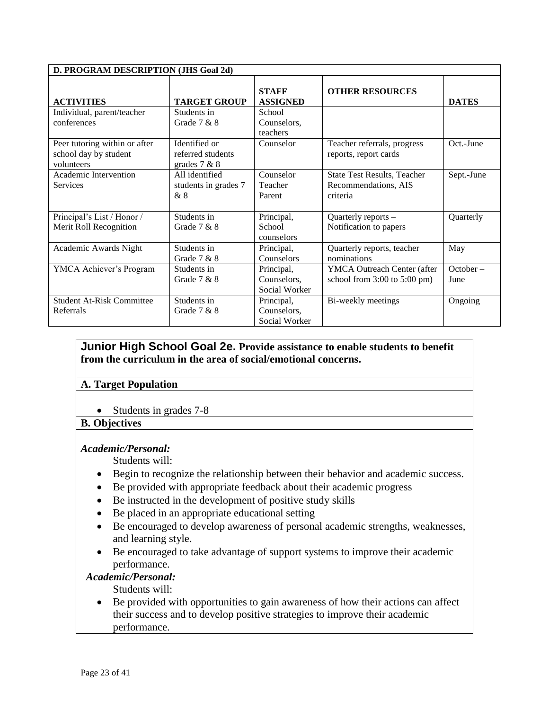| D. PROGRAM DESCRIPTION (JHS Goal 2d)                                 |                                                      |                                            |                                                                        |                   |
|----------------------------------------------------------------------|------------------------------------------------------|--------------------------------------------|------------------------------------------------------------------------|-------------------|
| <b>ACTIVITIES</b>                                                    | <b>TARGET GROUP</b>                                  | <b>STAFF</b><br><b>ASSIGNED</b>            | <b>OTHER RESOURCES</b>                                                 | <b>DATES</b>      |
| Individual, parent/teacher<br>conferences                            | Students in<br>Grade $7 & 8$                         | School<br>Counselors,<br>teachers          |                                                                        |                   |
| Peer tutoring within or after<br>school day by student<br>volunteers | Identified or<br>referred students<br>grades $7 & 8$ | Counselor                                  | Teacher referrals, progress<br>reports, report cards                   | Oct.-June         |
| Academic Intervention<br><b>Services</b>                             | All identified<br>students in grades 7<br>&8         | Counselor<br>Teacher<br>Parent             | <b>State Test Results, Teacher</b><br>Recommendations, AIS<br>criteria | Sept.-June        |
| Principal's List / Honor /<br>Merit Roll Recognition                 | Students in<br>Grade $7 & 8$                         | Principal,<br>School<br>counselors         | Quarterly reports -<br>Notification to papers                          | Quarterly         |
| Academic Awards Night                                                | Students in<br>Grade 7 & 8                           | Principal,<br>Counselors                   | Quarterly reports, teacher<br>nominations                              | May               |
| YMCA Achiever's Program                                              | Students in<br>Grade $7 & 8$                         | Principal,<br>Counselors,<br>Social Worker | YMCA Outreach Center (after<br>school from $3:00$ to $5:00$ pm)        | October –<br>June |
| <b>Student At-Risk Committee</b><br>Referrals                        | Students in<br>Grade $7 & 8$                         | Principal,<br>Counselors,<br>Social Worker | Bi-weekly meetings                                                     | Ongoing           |

# <span id="page-22-0"></span>**Junior High School Goal 2e. Provide assistance to enable students to benefit from the curriculum in the area of social/emotional concerns.**

#### **A. Target Population**

• Students in grades 7-8

#### **B. Objectives**

#### *Academic/Personal:*

Students will:

- Begin to recognize the relationship between their behavior and academic success.
- Be provided with appropriate feedback about their academic progress
- Be instructed in the development of positive study skills
- Be placed in an appropriate educational setting
- Be encouraged to develop awareness of personal academic strengths, weaknesses, and learning style.
- Be encouraged to take advantage of support systems to improve their academic performance.

#### *Academic/Personal:*

Students will:

 Be provided with opportunities to gain awareness of how their actions can affect their success and to develop positive strategies to improve their academic performance.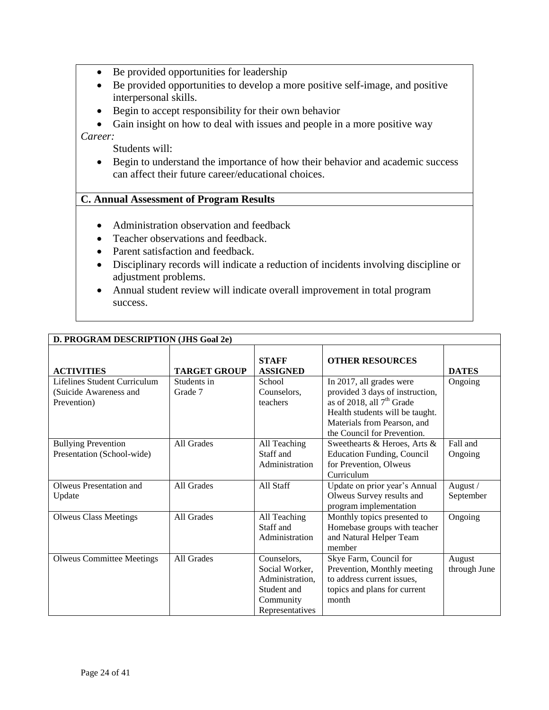- Be provided opportunities for leadership
- Be provided opportunities to develop a more positive self-image, and positive interpersonal skills.
- Begin to accept responsibility for their own behavior
- Gain insight on how to deal with issues and people in a more positive way

*Career:*

Students will:

 Begin to understand the importance of how their behavior and academic success can affect their future career/educational choices.

- Administration observation and feedback
- Teacher observations and feedback.
- Parent satisfaction and feedback.
- Disciplinary records will indicate a reduction of incidents involving discipline or adjustment problems.
- Annual student review will indicate overall improvement in total program success.

| D. PROGRAM DESCRIPTION (JHS Goal 2e) |                     |                                 |                                   |              |
|--------------------------------------|---------------------|---------------------------------|-----------------------------------|--------------|
| <b>ACTIVITIES</b>                    | <b>TARGET GROUP</b> | <b>STAFF</b><br><b>ASSIGNED</b> | <b>OTHER RESOURCES</b>            | <b>DATES</b> |
| Lifelines Student Curriculum         | Students in         | School                          | In 2017, all grades were          | Ongoing      |
| (Suicide Awareness and               | Grade 7             | Counselors,                     | provided 3 days of instruction,   |              |
| Prevention)                          |                     | teachers                        | as of 2018, all $7th$ Grade       |              |
|                                      |                     |                                 | Health students will be taught.   |              |
|                                      |                     |                                 | Materials from Pearson, and       |              |
|                                      |                     |                                 | the Council for Prevention.       |              |
| <b>Bullying Prevention</b>           | All Grades          | All Teaching                    | Sweethearts & Heroes, Arts &      | Fall and     |
| Presentation (School-wide)           |                     | Staff and                       | <b>Education Funding, Council</b> | Ongoing      |
|                                      |                     | Administration                  | for Prevention, Olweus            |              |
|                                      |                     |                                 | Curriculum                        |              |
| Olweus Presentation and              | All Grades          | All Staff                       | Update on prior year's Annual     | August /     |
| Update                               |                     |                                 | Olweus Survey results and         | September    |
|                                      |                     |                                 | program implementation            |              |
| <b>Olweus Class Meetings</b>         | All Grades          | All Teaching                    | Monthly topics presented to       | Ongoing      |
|                                      |                     | Staff and                       | Homebase groups with teacher      |              |
|                                      |                     | Administration                  | and Natural Helper Team           |              |
|                                      |                     |                                 | member                            |              |
| <b>Olweus Committee Meetings</b>     | All Grades          | Counselors,                     | Skye Farm, Council for            | August       |
|                                      |                     | Social Worker,                  | Prevention, Monthly meeting       | through June |
|                                      |                     | Administration.                 | to address current issues,        |              |
|                                      |                     | Student and                     | topics and plans for current      |              |
|                                      |                     | Community                       | month                             |              |
|                                      |                     | Representatives                 |                                   |              |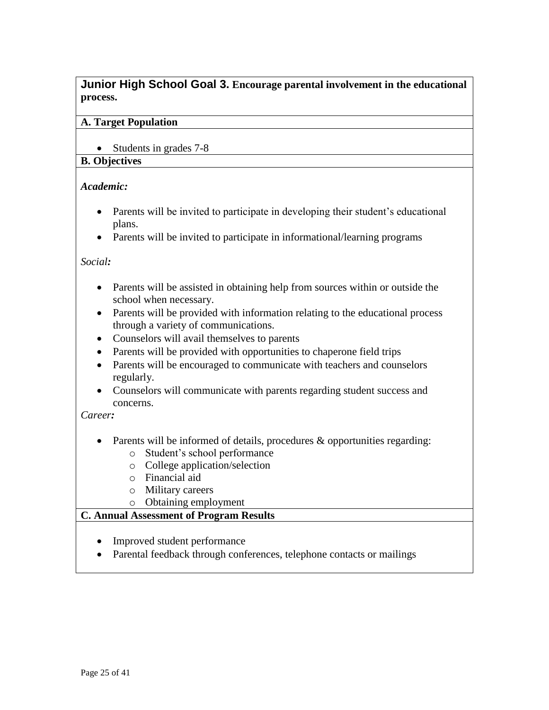<span id="page-24-0"></span>**Junior High School Goal 3. Encourage parental involvement in the educational process.**

#### **A. Target Population**

• Students in grades 7-8

#### **B. Objectives**

#### *Academic:*

- Parents will be invited to participate in developing their student's educational plans.
- Parents will be invited to participate in informational/learning programs

#### *Social:*

- Parents will be assisted in obtaining help from sources within or outside the school when necessary.
- Parents will be provided with information relating to the educational process through a variety of communications.
- Counselors will avail themselves to parents
- Parents will be provided with opportunities to chaperone field trips
- Parents will be encouraged to communicate with teachers and counselors regularly.
- Counselors will communicate with parents regarding student success and concerns.

#### *Career:*

- Parents will be informed of details, procedures & opportunities regarding:
	- o Student's school performance
	- o College application/selection
	- o Financial aid
	- o Military careers
	- o Obtaining employment

- Improved student performance
- Parental feedback through conferences, telephone contacts or mailings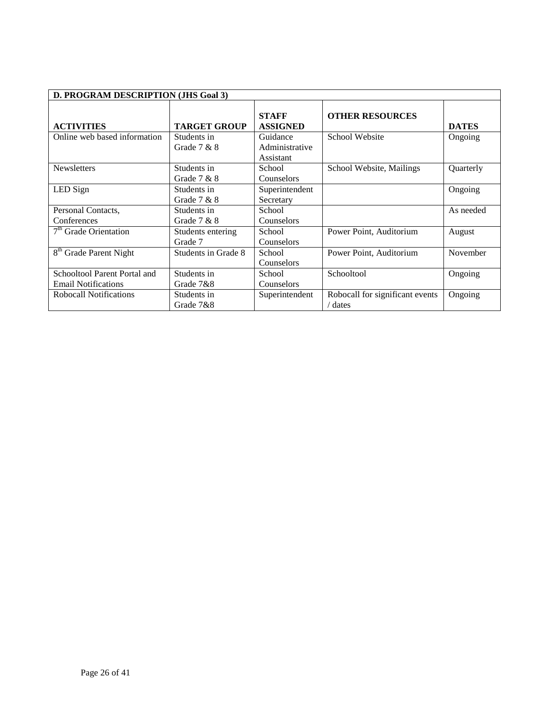| D. PROGRAM DESCRIPTION (JHS Goal 3)                        |                              |                                         |                                          |              |
|------------------------------------------------------------|------------------------------|-----------------------------------------|------------------------------------------|--------------|
| <b>ACTIVITIES</b>                                          | <b>TARGET GROUP</b>          | <b>STAFF</b><br><b>ASSIGNED</b>         | <b>OTHER RESOURCES</b>                   | <b>DATES</b> |
| Online web based information                               | Students in<br>Grade $7 & 8$ | Guidance<br>Administrative<br>Assistant | School Website                           | Ongoing      |
| <b>Newsletters</b>                                         | Students in<br>Grade $7 & 8$ | School<br>Counselors                    | School Website, Mailings                 | Quarterly    |
| LED Sign                                                   | Students in<br>Grade $7 & 8$ | Superintendent<br>Secretary             |                                          | Ongoing      |
| Personal Contacts,<br>Conferences                          | Students in<br>Grade $7 & 8$ | School<br>Counselors                    |                                          | As needed    |
| 7 <sup>th</sup> Grade Orientation                          | Students entering<br>Grade 7 | School<br>Counselors                    | Power Point, Auditorium                  | August       |
| 8 <sup>th</sup> Grade Parent Night                         | Students in Grade 8          | School<br>Counselors                    | Power Point, Auditorium                  | November     |
| Schooltool Parent Portal and<br><b>Email Notifications</b> | Students in<br>Grade 7&8     | School<br>Counselors                    | Schooltool                               | Ongoing      |
| Robocall Notifications                                     | Students in<br>Grade 7&8     | Superintendent                          | Robocall for significant events<br>dates | Ongoing      |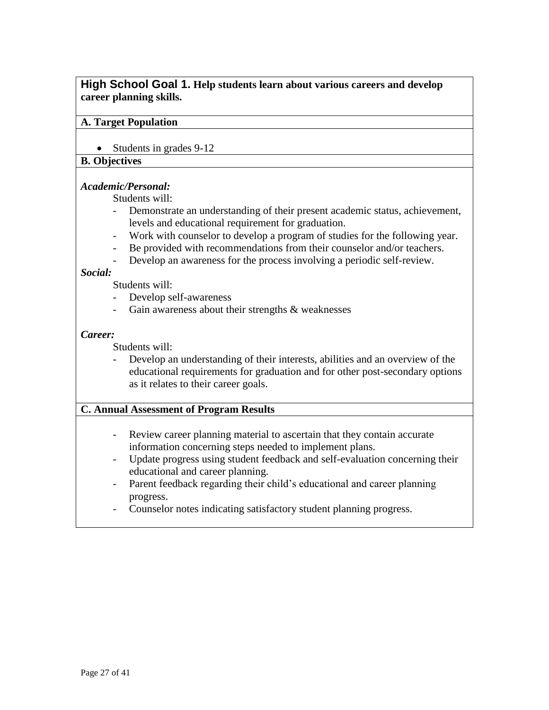# <span id="page-26-0"></span>**High School Goal 1. Help students learn about various careers and develop career planning skills.**

#### **A. Target Population**

• Students in grades 9-12

#### **B. Objectives**

#### *Academic/Personal:*

Students will:

- Demonstrate an understanding of their present academic status, achievement, levels and educational requirement for graduation.
- Work with counselor to develop a program of studies for the following year.
- Be provided with recommendations from their counselor and/or teachers.
- Develop an awareness for the process involving a periodic self-review.

#### *Social:*

Students will:

- Develop self-awareness
- Gain awareness about their strengths & weaknesses

#### *Career:*

Students will:

Develop an understanding of their interests, abilities and an overview of the educational requirements for graduation and for other post-secondary options as it relates to their career goals.

- Review career planning material to ascertain that they contain accurate information concerning steps needed to implement plans.
- Update progress using student feedback and self-evaluation concerning their educational and career planning.
- Parent feedback regarding their child's educational and career planning progress.
- Counselor notes indicating satisfactory student planning progress.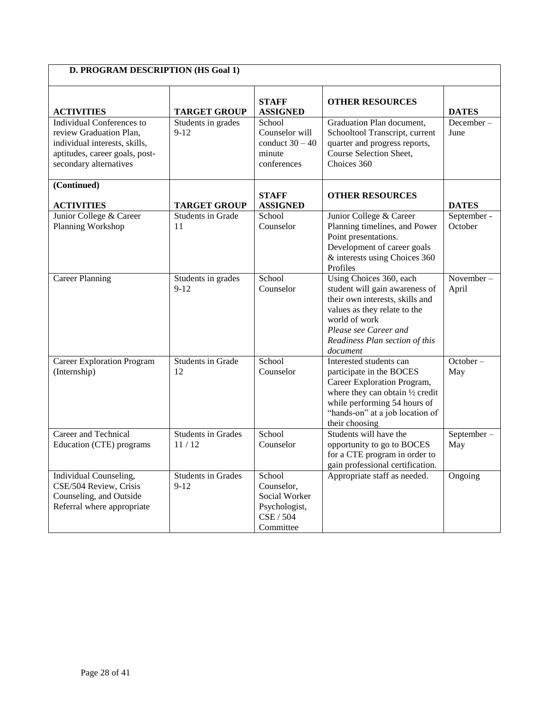| D. PROGRAM DESCRIPTION (HS Goal 1)                                                                                                                |                                                       |                                                                                  |                                                                                                                                                                                                                      |                                        |
|---------------------------------------------------------------------------------------------------------------------------------------------------|-------------------------------------------------------|----------------------------------------------------------------------------------|----------------------------------------------------------------------------------------------------------------------------------------------------------------------------------------------------------------------|----------------------------------------|
| <b>ACTIVITIES</b>                                                                                                                                 | <b>TARGET GROUP</b>                                   | <b>STAFF</b><br><b>ASSIGNED</b>                                                  | <b>OTHER RESOURCES</b>                                                                                                                                                                                               | <b>DATES</b>                           |
| Individual Conferences to<br>review Graduation Plan,<br>individual interests, skills,<br>aptitudes, career goals, post-<br>secondary alternatives | Students in grades<br>$9-12$                          | School<br>Counselor will<br>conduct $30 - 40$<br>minute<br>conferences           | Graduation Plan document,<br>Schooltool Transcript, current<br>quarter and progress reports,<br>Course Selection Sheet,<br>Choices 360                                                                               | December-<br>June                      |
| (Continued)                                                                                                                                       |                                                       | <b>STAFF</b>                                                                     | <b>OTHER RESOURCES</b>                                                                                                                                                                                               |                                        |
| <b>ACTIVITIES</b><br>Junior College & Career<br>Planning Workshop                                                                                 | <b>TARGET GROUP</b><br><b>Students in Grade</b><br>11 | <b>ASSIGNED</b><br>School<br>Counselor                                           | Junior College & Career<br>Planning timelines, and Power<br>Point presentations.<br>Development of career goals<br>& interests using Choices 360<br>Profiles                                                         | <b>DATES</b><br>September -<br>October |
| <b>Career Planning</b>                                                                                                                            | Students in grades<br>$9 - 12$                        | School<br>Counselor                                                              | Using Choices 360, each<br>student will gain awareness of<br>their own interests, skills and<br>values as they relate to the<br>world of work<br>Please see Career and<br>Readiness Plan section of this<br>document | November-<br>April                     |
| <b>Career Exploration Program</b><br>(Internship)                                                                                                 | Students in Grade<br>12                               | School<br>Counselor                                                              | Interested students can<br>participate in the BOCES<br>Career Exploration Program,<br>where they can obtain 1/2 credit<br>while performing 54 hours of<br>"hands-on" at a job location of<br>their choosing          | $October -$<br>May                     |
| Career and Technical<br>Education (CTE) programs                                                                                                  | <b>Students in Grades</b><br>11/12                    | School<br>Counselor                                                              | Students will have the<br>opportunity to go to BOCES<br>for a CTE program in order to<br>gain professional certification.                                                                                            | September-<br>May                      |
| Individual Counseling,<br>CSE/504 Review, Crisis<br>Counseling, and Outside<br>Referral where appropriate                                         | <b>Students in Grades</b><br>$9-12$                   | School<br>Counselor,<br>Social Worker<br>Psychologist,<br>CSE / 504<br>Committee | Appropriate staff as needed.                                                                                                                                                                                         | Ongoing                                |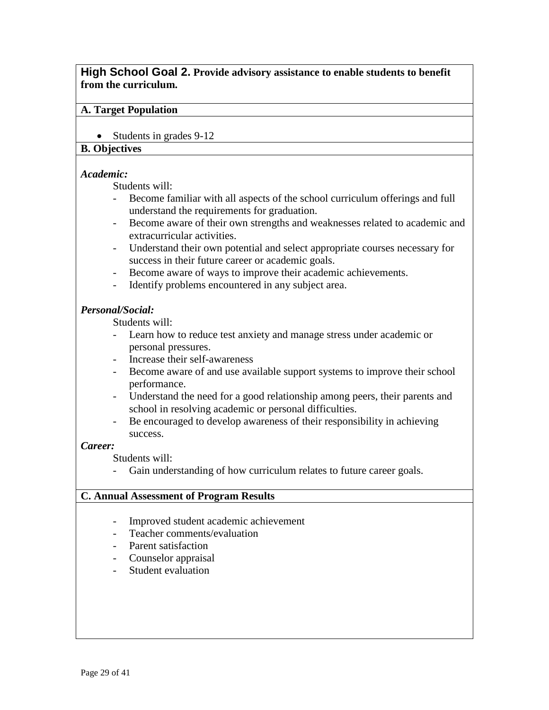#### <span id="page-28-0"></span>**High School Goal 2. Provide advisory assistance to enable students to benefit from the curriculum.**

#### **A. Target Population**

• Students in grades 9-12

# **B. Objectives**

#### *Academic:*

Students will:

- Become familiar with all aspects of the school curriculum offerings and full understand the requirements for graduation.
- Become aware of their own strengths and weaknesses related to academic and extracurricular activities.
- Understand their own potential and select appropriate courses necessary for success in their future career or academic goals.
- Become aware of ways to improve their academic achievements.
- Identify problems encountered in any subject area.

#### *Personal/Social:*

Students will:

- Learn how to reduce test anxiety and manage stress under academic or personal pressures.
- Increase their self-awareness
- Become aware of and use available support systems to improve their school performance.
- Understand the need for a good relationship among peers, their parents and school in resolving academic or personal difficulties.
- Be encouraged to develop awareness of their responsibility in achieving success.

#### *Career:*

Students will:

- Gain understanding of how curriculum relates to future career goals.

- Improved student academic achievement
- Teacher comments/evaluation
- Parent satisfaction
- Counselor appraisal
- Student evaluation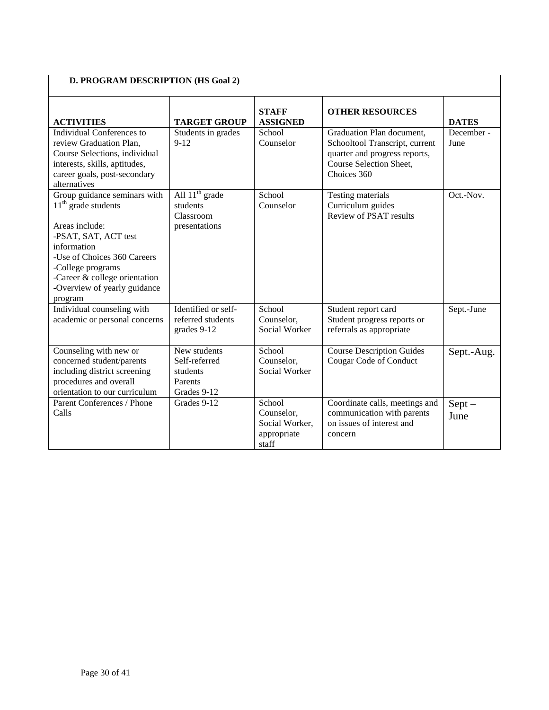| D. PROGRAM DESCRIPTION (HS Goal 2)                                                                                                                                                                                                             |                                                                     |                                                                |                                                                                                                                        |                    |
|------------------------------------------------------------------------------------------------------------------------------------------------------------------------------------------------------------------------------------------------|---------------------------------------------------------------------|----------------------------------------------------------------|----------------------------------------------------------------------------------------------------------------------------------------|--------------------|
| <b>ACTIVITIES</b>                                                                                                                                                                                                                              | <b>TARGET GROUP</b>                                                 | <b>STAFF</b><br><b>ASSIGNED</b>                                | <b>OTHER RESOURCES</b>                                                                                                                 | <b>DATES</b>       |
| Individual Conferences to<br>review Graduation Plan,<br>Course Selections, individual<br>interests, skills, aptitudes,<br>career goals, post-secondary<br>alternatives                                                                         | Students in grades<br>$9 - 12$                                      | School<br>Counselor                                            | Graduation Plan document,<br>Schooltool Transcript, current<br>quarter and progress reports,<br>Course Selection Sheet,<br>Choices 360 | December -<br>June |
| Group guidance seminars with<br>$11th$ grade students<br>Areas include:<br>-PSAT, SAT, ACT test<br>information<br>-Use of Choices 360 Careers<br>-College programs<br>-Career & college orientation<br>-Overview of yearly guidance<br>program | All $11th$ grade<br>students<br>Classroom<br>presentations          | School<br>Counselor                                            | <b>Testing materials</b><br>Curriculum guides<br>Review of PSAT results                                                                | Oct.-Nov.          |
| Individual counseling with<br>academic or personal concerns                                                                                                                                                                                    | Identified or self-<br>referred students<br>grades 9-12             | School<br>Counselor,<br>Social Worker                          | Student report card<br>Student progress reports or<br>referrals as appropriate                                                         | Sept.-June         |
| Counseling with new or<br>concerned student/parents<br>including district screening<br>procedures and overall<br>orientation to our curriculum                                                                                                 | New students<br>Self-referred<br>students<br>Parents<br>Grades 9-12 | School<br>Counselor,<br>Social Worker                          | <b>Course Description Guides</b><br>Cougar Code of Conduct                                                                             | Sept.-Aug.         |
| Parent Conferences / Phone<br>Calls                                                                                                                                                                                                            | Grades 9-12                                                         | School<br>Counselor,<br>Social Worker,<br>appropriate<br>staff | Coordinate calls, meetings and<br>communication with parents<br>on issues of interest and<br>concern                                   | $Sept -$<br>June   |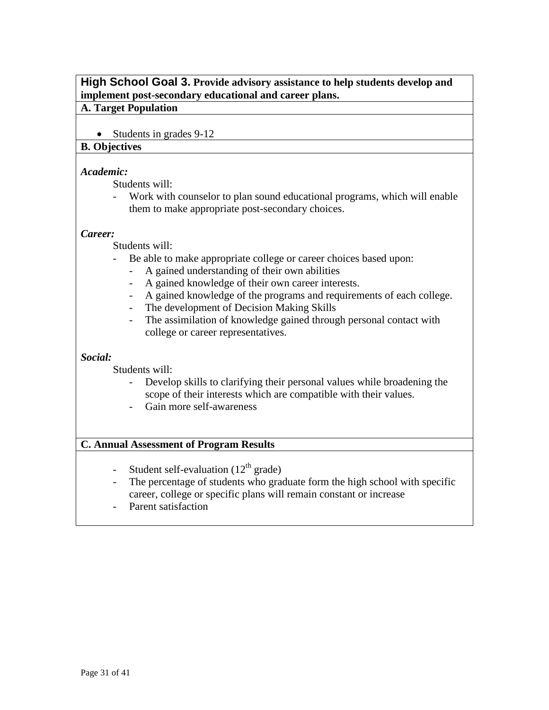# <span id="page-30-0"></span>**High School Goal 3. Provide advisory assistance to help students develop and implement post-secondary educational and career plans.**

#### **A. Target Population**

• Students in grades 9-12

#### **B. Objectives**

#### *Academic:*

Students will:

- Work with counselor to plan sound educational programs, which will enable them to make appropriate post-secondary choices.

#### *Career:*

Students will:

- Be able to make appropriate college or career choices based upon:
	- A gained understanding of their own abilities
	- A gained knowledge of their own career interests.
	- A gained knowledge of the programs and requirements of each college.
	- The development of Decision Making Skills
	- The assimilation of knowledge gained through personal contact with college or career representatives.

# *Social:*

Students will:

- Develop skills to clarifying their personal values while broadening the scope of their interests which are compatible with their values.
- Gain more self-awareness

- Student self-evaluation  $(12<sup>th</sup> \text{ grade})$
- The percentage of students who graduate form the high school with specific career, college or specific plans will remain constant or increase
- Parent satisfaction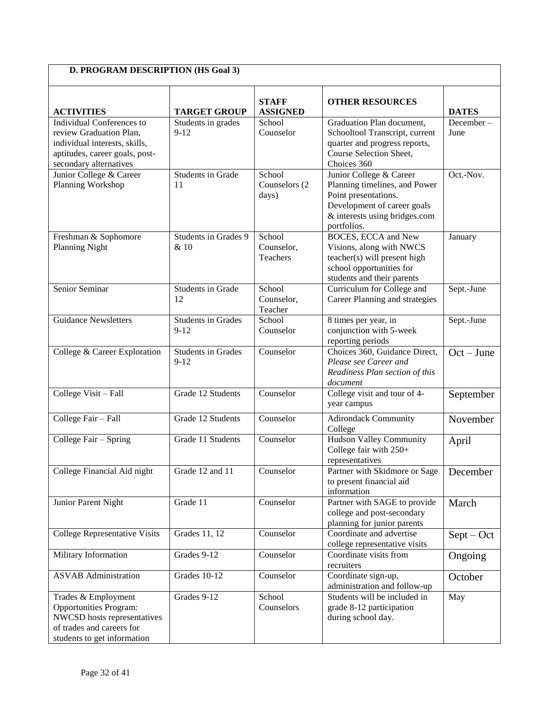| D. PROGRAM DESCRIPTION (HS Goal 3)                                                                                                                       |                                       |                                         |                                                                                                                                                                 |                   |
|----------------------------------------------------------------------------------------------------------------------------------------------------------|---------------------------------------|-----------------------------------------|-----------------------------------------------------------------------------------------------------------------------------------------------------------------|-------------------|
| <b>ACTIVITIES</b>                                                                                                                                        | <b>TARGET GROUP</b>                   | <b>STAFF</b><br><b>ASSIGNED</b>         | <b>OTHER RESOURCES</b>                                                                                                                                          | <b>DATES</b>      |
| <b>Individual Conferences to</b><br>review Graduation Plan,<br>individual interests, skills,<br>aptitudes, career goals, post-<br>secondary alternatives | Students in grades<br>$9 - 12$        | School<br>Counselor                     | Graduation Plan document,<br>Schooltool Transcript, current<br>quarter and progress reports,<br>Course Selection Sheet,<br>Choices 360                          | December-<br>June |
| Junior College & Career<br>Planning Workshop                                                                                                             | <b>Students in Grade</b><br>11        | School<br>Counselors (2<br>days)        | Junior College & Career<br>Planning timelines, and Power<br>Point presentations.<br>Development of career goals<br>& interests using bridges.com<br>portfolios. | Oct.-Nov.         |
| Freshman & Sophomore<br><b>Planning Night</b>                                                                                                            | Students in Grades 9<br>& 10          | School<br>Counselor,<br><b>Teachers</b> | <b>BOCES, ECCA and New</b><br>Visions, along with NWCS<br>teacher(s) will present high<br>school opportunities for<br>students and their parents                | January           |
| Senior Seminar                                                                                                                                           | <b>Students in Grade</b><br>12        | School<br>Counselor,<br>Teacher         | Curriculum for College and<br>Career Planning and strategies                                                                                                    | Sept.-June        |
| <b>Guidance Newsletters</b>                                                                                                                              | <b>Students in Grades</b><br>$9 - 12$ | School<br>Counselor                     | 8 times per year, in<br>conjunction with 5-week<br>reporting periods                                                                                            | Sept.-June        |
| College & Career Exploration                                                                                                                             | <b>Students in Grades</b><br>$9 - 12$ | Counselor                               | Choices 360, Guidance Direct,<br>Please see Career and<br>Readiness Plan section of this<br>document                                                            | $Oct$ – June      |
| College Visit - Fall                                                                                                                                     | Grade 12 Students                     | Counselor                               | College visit and tour of 4-<br>year campus                                                                                                                     | September         |
| College Fair - Fall                                                                                                                                      | Grade 12 Students                     | Counselor                               | <b>Adirondack Community</b><br>College                                                                                                                          | November          |
| College Fair – Spring                                                                                                                                    | Grade 11 Students                     | Counselor                               | <b>Hudson Valley Community</b><br>College fair with 250+<br>representatives                                                                                     | April             |
| College Financial Aid night                                                                                                                              | Grade 12 and 11                       | Counselor                               | Partner with Skidmore or Sage<br>to present financial aid<br>information                                                                                        | December          |
| Junior Parent Night                                                                                                                                      | Grade 11                              | Counselor                               | Partner with SAGE to provide<br>college and post-secondary<br>planning for junior parents                                                                       | March             |
| <b>College Representative Visits</b>                                                                                                                     | Grades 11, 12                         | Counselor                               | Coordinate and advertise<br>college representative visits                                                                                                       | $Sept - Oct$      |
| <b>Military Information</b>                                                                                                                              | Grades 9-12                           | Counselor                               | Coordinate visits from<br>recruiters                                                                                                                            | Ongoing           |
| <b>ASVAB</b> Administration                                                                                                                              | Grades 10-12                          | Counselor                               | Coordinate sign-up,<br>administration and follow-up                                                                                                             | October           |
| Trades & Employment<br><b>Opportunities Program:</b><br>NWCSD hosts representatives<br>of trades and careers for<br>students to get information          | Grades 9-12                           | School<br>Counselors                    | Students will be included in<br>grade 8-12 participation<br>during school day.                                                                                  | May               |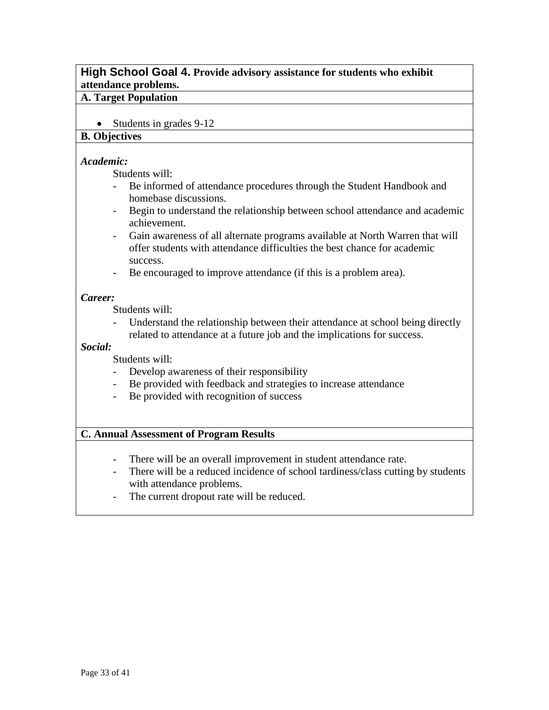# <span id="page-32-0"></span>**High School Goal 4. Provide advisory assistance for students who exhibit attendance problems.**

#### **A. Target Population**

• Students in grades 9-12

#### **B. Objectives**

#### *Academic:*

Students will:

- Be informed of attendance procedures through the Student Handbook and homebase discussions.
- Begin to understand the relationship between school attendance and academic achievement.
- Gain awareness of all alternate programs available at North Warren that will offer students with attendance difficulties the best chance for academic success.
- Be encouraged to improve attendance (if this is a problem area).

#### *Career:*

Students will:

Understand the relationship between their attendance at school being directly related to attendance at a future job and the implications for success.

#### *Social:*

Students will:

- Develop awareness of their responsibility
- Be provided with feedback and strategies to increase attendance
- Be provided with recognition of success

- There will be an overall improvement in student attendance rate.
- There will be a reduced incidence of school tardiness/class cutting by students with attendance problems.
- The current dropout rate will be reduced.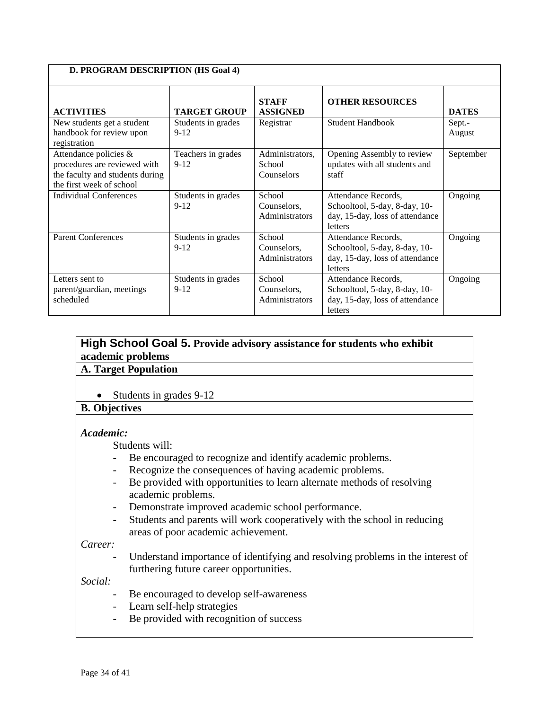| <b>D. PROGRAM DESCRIPTION (HS Goal 4)</b>                                                                            |                                |                                         |                                                                                                    |                  |
|----------------------------------------------------------------------------------------------------------------------|--------------------------------|-----------------------------------------|----------------------------------------------------------------------------------------------------|------------------|
| <b>ACTIVITIES</b>                                                                                                    | <b>TARGET GROUP</b>            | <b>STAFF</b><br><b>ASSIGNED</b>         | <b>OTHER RESOURCES</b>                                                                             | <b>DATES</b>     |
| New students get a student<br>handbook for review upon<br>registration                                               | Students in grades<br>$9 - 12$ | Registrar                               | <b>Student Handbook</b>                                                                            | Sept.-<br>August |
| Attendance policies &<br>procedures are reviewed with<br>the faculty and students during<br>the first week of school | Teachers in grades<br>$9 - 12$ | Administrators,<br>School<br>Counselors | Opening Assembly to review<br>updates with all students and<br>staff                               | September        |
| Individual Conferences                                                                                               | Students in grades<br>$9 - 12$ | School<br>Counselors,<br>Administrators | Attendance Records,<br>Schooltool, 5-day, 8-day, 10-<br>day, 15-day, loss of attendance<br>letters | Ongoing          |
| <b>Parent Conferences</b>                                                                                            | Students in grades<br>$9 - 12$ | School<br>Counselors,<br>Administrators | Attendance Records,<br>Schooltool, 5-day, 8-day, 10-<br>day, 15-day, loss of attendance<br>letters | Ongoing          |
| Letters sent to<br>parent/guardian, meetings<br>scheduled                                                            | Students in grades<br>$9-12$   | School<br>Counselors,<br>Administrators | Attendance Records,<br>Schooltool, 5-day, 8-day, 10-<br>day, 15-day, loss of attendance<br>letters | Ongoing          |

# <span id="page-33-0"></span>**High School Goal 5. Provide advisory assistance for students who exhibit academic problems**

# **A. Target Population**

• Students in grades 9-12

#### **B. Objectives**

#### *Academic:*

Students will:

- Be encouraged to recognize and identify academic problems.
- Recognize the consequences of having academic problems.
- Be provided with opportunities to learn alternate methods of resolving academic problems.
- Demonstrate improved academic school performance.
- Students and parents will work cooperatively with the school in reducing areas of poor academic achievement.

*Career:*

- Understand importance of identifying and resolving problems in the interest of furthering future career opportunities.

*Social:*

- Be encouraged to develop self-awareness
- Learn self-help strategies
- Be provided with recognition of success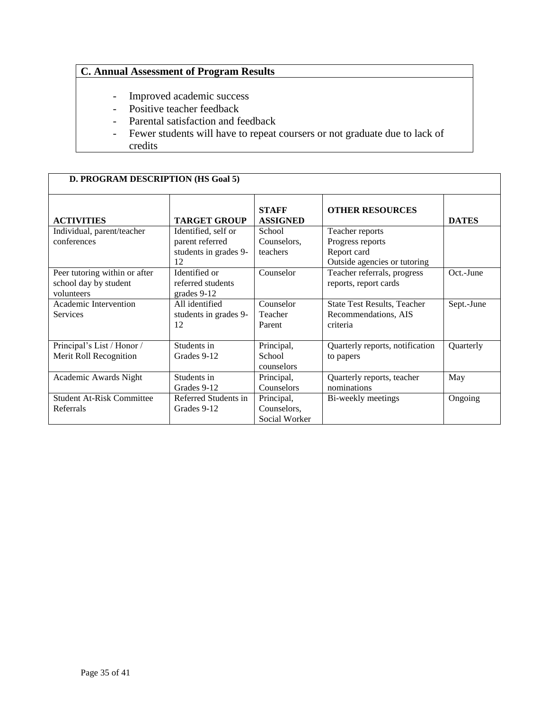- Improved academic success
- Positive teacher feedback
- Parental satisfaction and feedback
- Fewer students will have to repeat coursers or not graduate due to lack of credits

| D. PROGRAM DESCRIPTION (HS Goal 5) |                       |                                 |                                    |              |
|------------------------------------|-----------------------|---------------------------------|------------------------------------|--------------|
| <b>ACTIVITIES</b>                  | <b>TARGET GROUP</b>   | <b>STAFF</b><br><b>ASSIGNED</b> | <b>OTHER RESOURCES</b>             | <b>DATES</b> |
| Individual, parent/teacher         | Identified, self or   | School                          | Teacher reports                    |              |
| conferences                        | parent referred       | Counselors,                     | Progress reports                   |              |
|                                    | students in grades 9- | teachers                        | Report card                        |              |
|                                    | 12                    |                                 | Outside agencies or tutoring       |              |
| Peer tutoring within or after      | Identified or         | Counselor                       | Teacher referrals, progress        | Oct.-June    |
| school day by student              | referred students     |                                 | reports, report cards              |              |
| volunteers                         | grades 9-12           |                                 |                                    |              |
| Academic Intervention              | All identified        | Counselor                       | <b>State Test Results, Teacher</b> | Sept.-June   |
| <b>Services</b>                    | students in grades 9- | Teacher                         | Recommendations, AIS               |              |
|                                    | 12                    | Parent                          | criteria                           |              |
|                                    |                       |                                 |                                    |              |
| Principal's List / Honor /         | Students in           | Principal,                      | Quarterly reports, notification    | Quarterly    |
| Merit Roll Recognition             | Grades 9-12           | School                          | to papers                          |              |
|                                    |                       | counselors                      |                                    |              |
| Academic Awards Night              | Students in           | Principal,                      | Quarterly reports, teacher         | May          |
|                                    | Grades 9-12           | <b>Counselors</b>               | nominations                        |              |
| <b>Student At-Risk Committee</b>   | Referred Students in  | Principal,                      | Bi-weekly meetings                 | Ongoing      |
| Referrals                          | Grades 9-12           | Counselors,                     |                                    |              |
|                                    |                       | Social Worker                   |                                    |              |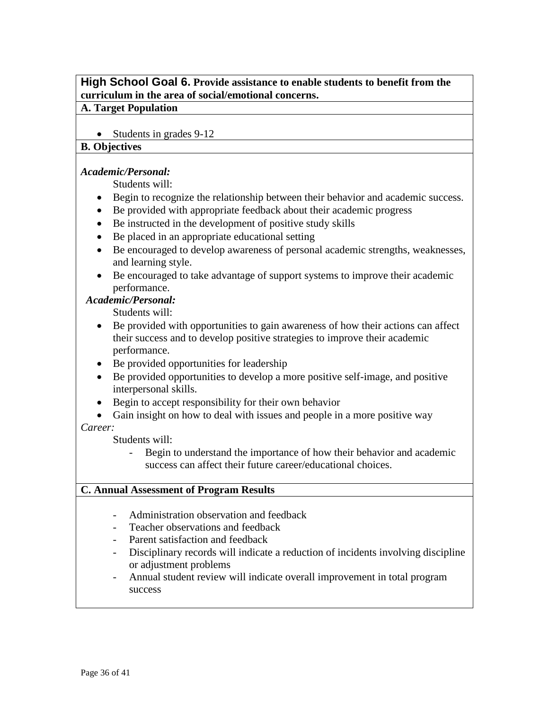# <span id="page-35-0"></span>**High School Goal 6. Provide assistance to enable students to benefit from the curriculum in the area of social/emotional concerns.**

#### **A. Target Population**

• Students in grades 9-12

#### **B. Objectives**

#### *Academic/Personal:*

Students will:

- Begin to recognize the relationship between their behavior and academic success.
- Be provided with appropriate feedback about their academic progress
- Be instructed in the development of positive study skills
- Be placed in an appropriate educational setting
- Be encouraged to develop awareness of personal academic strengths, weaknesses, and learning style.
- Be encouraged to take advantage of support systems to improve their academic performance.

#### *Academic/Personal:*

Students will:

- Be provided with opportunities to gain awareness of how their actions can affect their success and to develop positive strategies to improve their academic performance.
- Be provided opportunities for leadership
- Be provided opportunities to develop a more positive self-image, and positive interpersonal skills.
- Begin to accept responsibility for their own behavior
- Gain insight on how to deal with issues and people in a more positive way *Career:*

Students will:

- Begin to understand the importance of how their behavior and academic success can affect their future career/educational choices.

- Administration observation and feedback
- Teacher observations and feedback
- Parent satisfaction and feedback
- Disciplinary records will indicate a reduction of incidents involving discipline or adjustment problems
- Annual student review will indicate overall improvement in total program success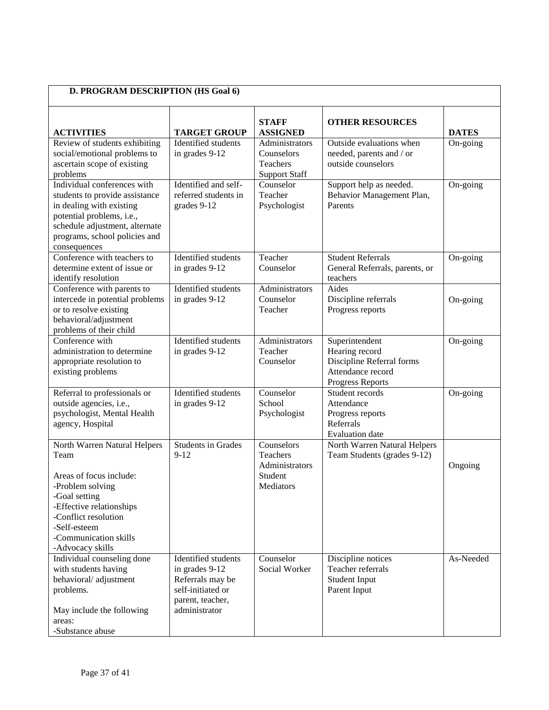| D. PROGRAM DESCRIPTION (HS Goal 6)                                                                                                                                                                                    |                                                                                                                     |                                                                  |                                                                                                        |              |
|-----------------------------------------------------------------------------------------------------------------------------------------------------------------------------------------------------------------------|---------------------------------------------------------------------------------------------------------------------|------------------------------------------------------------------|--------------------------------------------------------------------------------------------------------|--------------|
| <b>ACTIVITIES</b>                                                                                                                                                                                                     | <b>TARGET GROUP</b>                                                                                                 | <b>STAFF</b><br><b>ASSIGNED</b>                                  | <b>OTHER RESOURCES</b>                                                                                 | <b>DATES</b> |
| Review of students exhibiting<br>social/emotional problems to<br>ascertain scope of existing<br>problems                                                                                                              | Identified students<br>in grades 9-12                                                                               | Administrators<br>Counselors<br>Teachers<br><b>Support Staff</b> | Outside evaluations when<br>needed, parents and / or<br>outside counselors                             | On-going     |
| Individual conferences with<br>students to provide assistance<br>in dealing with existing<br>potential problems, i.e.,<br>schedule adjustment, alternate<br>programs, school policies and<br>consequences             | Identified and self-<br>referred students in<br>grades 9-12                                                         | Counselor<br>Teacher<br>Psychologist                             | Support help as needed.<br>Behavior Management Plan,<br>Parents                                        | On-going     |
| Conference with teachers to<br>determine extent of issue or<br>identify resolution                                                                                                                                    | Identified students<br>in grades 9-12                                                                               | Teacher<br>Counselor                                             | <b>Student Referrals</b><br>General Referrals, parents, or<br>teachers                                 | On-going     |
| Conference with parents to<br>intercede in potential problems<br>or to resolve existing<br>behavioral/adjustment<br>problems of their child                                                                           | Identified students<br>in grades 9-12                                                                               | Administrators<br>Counselor<br>Teacher                           | Aides<br>Discipline referrals<br>Progress reports                                                      | On-going     |
| Conference with<br>administration to determine<br>appropriate resolution to<br>existing problems                                                                                                                      | Identified students<br>in grades 9-12                                                                               | Administrators<br>Teacher<br>Counselor                           | Superintendent<br>Hearing record<br>Discipline Referral forms<br>Attendance record<br>Progress Reports | On-going     |
| Referral to professionals or<br>outside agencies, i.e.,<br>psychologist, Mental Health<br>agency, Hospital                                                                                                            | Identified students<br>in grades 9-12                                                                               | Counselor<br>School<br>Psychologist                              | Student records<br>Attendance<br>Progress reports<br>Referrals<br><b>Evaluation</b> date               | On-going     |
| North Warren Natural Helpers<br>Team<br>Areas of focus include:<br>-Problem solving<br>-Goal setting<br>-Effective relationships<br>-Conflict resolution<br>-Self-esteem<br>-Communication skills<br>-Advocacy skills | <b>Students in Grades</b><br>$9 - 12$                                                                               | Counselors<br>Teachers<br>Administrators<br>Student<br>Mediators | North Warren Natural Helpers<br>Team Students (grades 9-12)                                            | Ongoing      |
| Individual counseling done<br>with students having<br>behavioral/adjustment<br>problems.<br>May include the following<br>areas:<br>-Substance abuse                                                                   | Identified students<br>in grades 9-12<br>Referrals may be<br>self-initiated or<br>parent, teacher,<br>administrator | Counselor<br>Social Worker                                       | Discipline notices<br>Teacher referrals<br><b>Student Input</b><br>Parent Input                        | As-Needed    |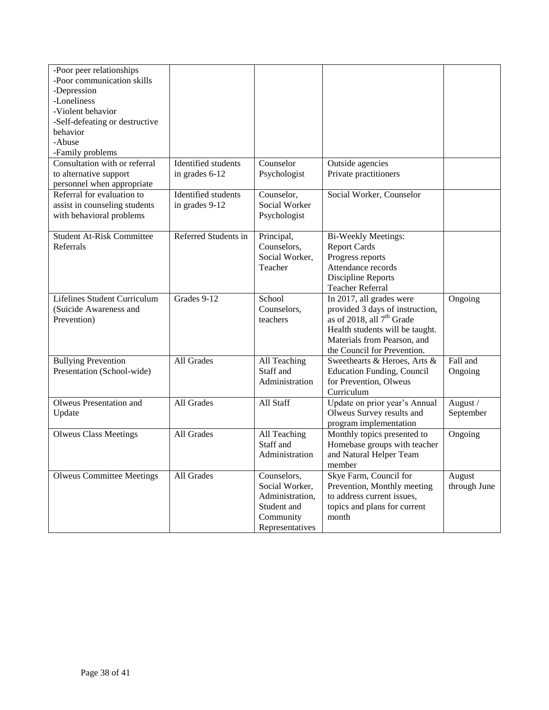| -Poor peer relationships<br>-Poor communication skills<br>-Depression<br>-Loneliness<br>-Violent behavior<br>-Self-defeating or destructive<br>behavior<br>-Abuse<br>-Family problems |                                       |                                                                                                 |                                                                                                                                                                                                       |                        |
|---------------------------------------------------------------------------------------------------------------------------------------------------------------------------------------|---------------------------------------|-------------------------------------------------------------------------------------------------|-------------------------------------------------------------------------------------------------------------------------------------------------------------------------------------------------------|------------------------|
| Consultation with or referral<br>to alternative support<br>personnel when appropriate                                                                                                 | Identified students<br>in grades 6-12 | Counselor<br>Psychologist                                                                       | Outside agencies<br>Private practitioners                                                                                                                                                             |                        |
| Referral for evaluation to<br>assist in counseling students<br>with behavioral problems                                                                                               | Identified students<br>in grades 9-12 | Counselor,<br>Social Worker<br>Psychologist                                                     | Social Worker, Counselor                                                                                                                                                                              |                        |
| <b>Student At-Risk Committee</b><br>Referrals                                                                                                                                         | Referred Students in                  | Principal,<br>Counselors,<br>Social Worker,<br>Teacher                                          | <b>Bi-Weekly Meetings:</b><br><b>Report Cards</b><br>Progress reports<br>Attendance records<br>Discipline Reports<br><b>Teacher Referral</b>                                                          |                        |
| <b>Lifelines Student Curriculum</b><br>(Suicide Awareness and<br>Prevention)                                                                                                          | Grades 9-12                           | School<br>Counselors,<br>teachers                                                               | In 2017, all grades were<br>provided 3 days of instruction,<br>as of 2018, all 7 <sup>th</sup> Grade<br>Health students will be taught.<br>Materials from Pearson, and<br>the Council for Prevention. | Ongoing                |
| <b>Bullying Prevention</b><br>Presentation (School-wide)                                                                                                                              | All Grades                            | All Teaching<br>Staff and<br>Administration                                                     | Sweethearts & Heroes, Arts &<br><b>Education Funding, Council</b><br>for Prevention, Olweus<br>Curriculum                                                                                             | Fall and<br>Ongoing    |
| Olweus Presentation and<br>Update                                                                                                                                                     | All Grades                            | All Staff                                                                                       | Update on prior year's Annual<br>Olweus Survey results and<br>program implementation                                                                                                                  | August /<br>September  |
| <b>Olweus Class Meetings</b>                                                                                                                                                          | All Grades                            | All Teaching<br>Staff and<br>Administration                                                     | Monthly topics presented to<br>Homebase groups with teacher<br>and Natural Helper Team<br>member                                                                                                      | Ongoing                |
| <b>Olweus Committee Meetings</b>                                                                                                                                                      | All Grades                            | Counselors,<br>Social Worker,<br>Administration.<br>Student and<br>Community<br>Representatives | Skye Farm, Council for<br>Prevention, Monthly meeting<br>to address current issues,<br>topics and plans for current<br>month                                                                          | August<br>through June |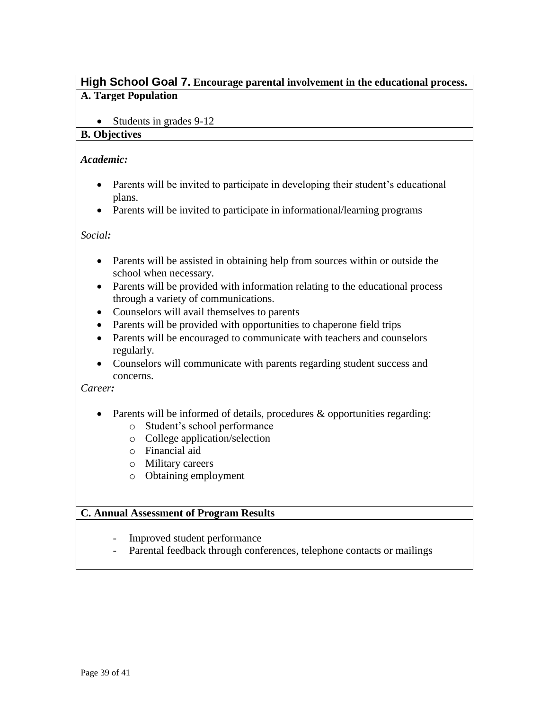# <span id="page-38-0"></span>**High School Goal 7. Encourage parental involvement in the educational process. A. Target Population**

• Students in grades 9-12

#### **B. Objectives**

#### *Academic:*

- Parents will be invited to participate in developing their student's educational plans.
- Parents will be invited to participate in informational/learning programs

*Social:*

- Parents will be assisted in obtaining help from sources within or outside the school when necessary.
- Parents will be provided with information relating to the educational process through a variety of communications.
- Counselors will avail themselves to parents
- Parents will be provided with opportunities to chaperone field trips
- Parents will be encouraged to communicate with teachers and counselors regularly.
- Counselors will communicate with parents regarding student success and concerns.

#### *Career:*

- Parents will be informed of details, procedures  $\&$  opportunities regarding:
	- o Student's school performance
	- o College application/selection
	- o Financial aid
	- o Military careers
	- o Obtaining employment

- Improved student performance
- Parental feedback through conferences, telephone contacts or mailings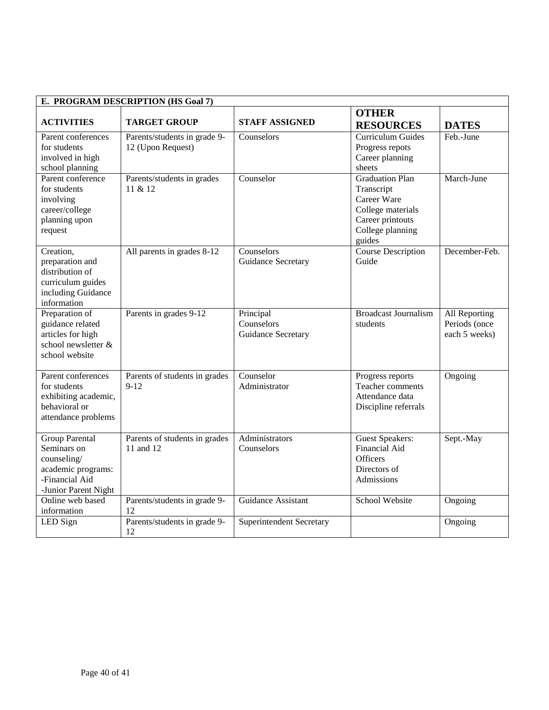| E. PROGRAM DESCRIPTION (HS Goal 7)                                                                                  |                                                   |                                               |                                                                                                                            |                                                 |
|---------------------------------------------------------------------------------------------------------------------|---------------------------------------------------|-----------------------------------------------|----------------------------------------------------------------------------------------------------------------------------|-------------------------------------------------|
| <b>ACTIVITIES</b>                                                                                                   | <b>TARGET GROUP</b>                               | <b>STAFF ASSIGNED</b>                         | <b>OTHER</b><br><b>RESOURCES</b>                                                                                           | <b>DATES</b>                                    |
| Parent conferences<br>for students<br>involved in high<br>school planning                                           | Parents/students in grade 9-<br>12 (Upon Request) | Counselors                                    | Curriculum Guides<br>Progress repots<br>Career planning<br>sheets                                                          | Feb.-June                                       |
| Parent conference<br>for students<br>involving<br>career/college<br>planning upon<br>request                        | Parents/students in grades<br>11 & 12             | Counselor                                     | <b>Graduation Plan</b><br>Transcript<br>Career Ware<br>College materials<br>Career printouts<br>College planning<br>guides | March-June                                      |
| Creation,<br>preparation and<br>distribution of<br>curriculum guides<br>including Guidance<br>information           | All parents in grades 8-12                        | Counselors<br>Guidance Secretary              | <b>Course Description</b><br>Guide                                                                                         | December-Feb.                                   |
| Preparation of<br>guidance related<br>articles for high<br>school newsletter &<br>school website                    | Parents in grades 9-12                            | Principal<br>Counselors<br>Guidance Secretary | <b>Broadcast Journalism</b><br>students                                                                                    | All Reporting<br>Periods (once<br>each 5 weeks) |
| Parent conferences<br>for students<br>exhibiting academic,<br>behavioral or<br>attendance problems                  | Parents of students in grades<br>$9 - 12$         | Counselor<br>Administrator                    | Progress reports<br>Teacher comments<br>Attendance data<br>Discipline referrals                                            | Ongoing                                         |
| <b>Group Parental</b><br>Seminars on<br>counseling/<br>academic programs:<br>-Financial Aid<br>-Junior Parent Night | Parents of students in grades<br>11 and 12        | Administrators<br>Counselors                  | <b>Guest Speakers:</b><br><b>Financial Aid</b><br><b>Officers</b><br>Directors of<br>Admissions                            | Sept.-May                                       |
| Online web based<br>information                                                                                     | Parents/students in grade 9-<br>12                | Guidance Assistant                            | School Website                                                                                                             | Ongoing                                         |
| LED Sign                                                                                                            | Parents/students in grade 9-<br>12                | <b>Superintendent Secretary</b>               |                                                                                                                            | Ongoing                                         |